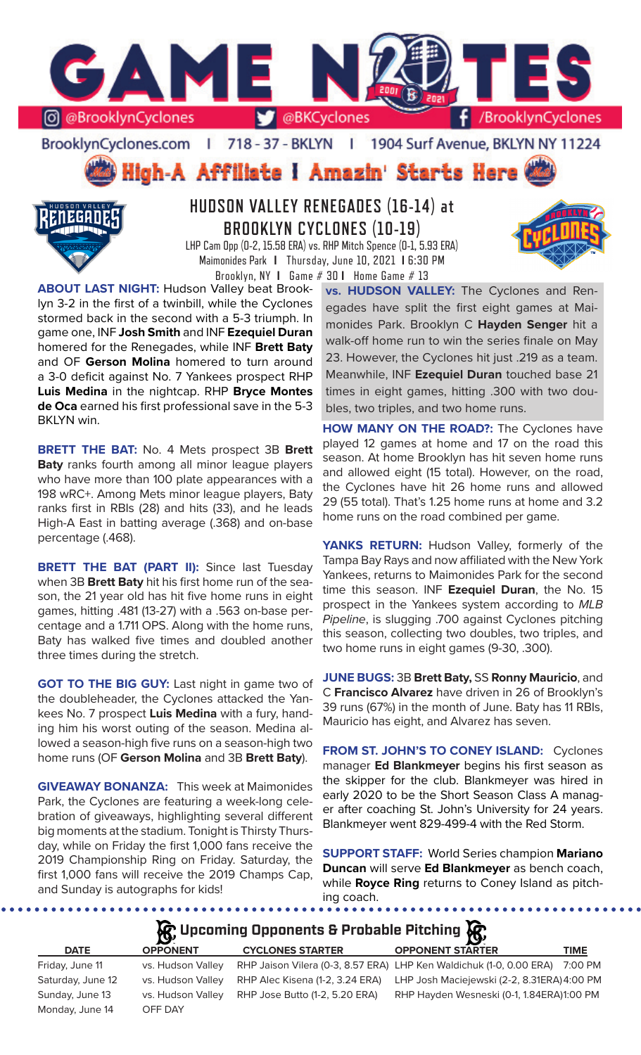

BrooklynCyclones.com | 718 - 37 - BKLYN | 1904 Surf Avenue, BKLYN NY 11224

## High-A Affiliate I Amazin' Starts Here



## **HUDSON VALLEY RENEGADES (16-14) at BROOKLYN CYCLONES (10-19)**

LHP Cam Opp (0-2, 15.58 ERA) vs. RHP Mitch Spence (0-1, 5.93 ERA) Maimonides Park **I** Thursday, June 10, 2021 **I** 6:30 PM Brooklyn, NY **I** Game # 30 **I** Home Game # 13

**ABOUT LAST NIGHT:** Hudson Valley beat Brooklyn 3-2 in the first of a twinbill, while the Cyclones stormed back in the second with a 5-3 triumph. In game one, INF **Josh Smith** and INF **Ezequiel Duran**  homered for the Renegades, while INF **Brett Baty**  and OF **Gerson Molina** homered to turn around a 3-0 deficit against No. 7 Yankees prospect RHP **Luis Medina** in the nightcap. RHP **Bryce Montes de Oca** earned his first professional save in the 5-3 BKLYN win.

**BRETT THE BAT:** No. 4 Mets prospect 3B **Brett Baty** ranks fourth among all minor league players who have more than 100 plate appearances with a 198 wRC+. Among Mets minor league players, Baty ranks first in RBIs (28) and hits (33), and he leads High-A East in batting average (.368) and on-base percentage (.468).

**BRETT THE BAT (PART II):** Since last Tuesday when 3B **Brett Baty** hit his first home run of the season, the 21 year old has hit five home runs in eight games, hitting .481 (13-27) with a .563 on-base percentage and a 1.711 OPS. Along with the home runs, Baty has walked five times and doubled another three times during the stretch.

**GOT TO THE BIG GUY:** Last night in game two of the doubleheader, the Cyclones attacked the Yankees No. 7 prospect **Luis Medina** with a fury, handing him his worst outing of the season. Medina allowed a season-high five runs on a season-high two home runs (OF **Gerson Molina** and 3B **Brett Baty**).

**GIVEAWAY BONANZA:** This week at Maimonides Park, the Cyclones are featuring a week-long celebration of giveaways, highlighting several different big moments at the stadium. Tonight is Thirsty Thursday, while on Friday the first 1,000 fans receive the 2019 Championship Ring on Friday. Saturday, the first 1,000 fans will receive the 2019 Champs Cap, and Sunday is autographs for kids!

**vs. HUDSON VALLEY:** The Cyclones and Renegades have split the first eight games at Maimonides Park. Brooklyn C **Hayden Senger** hit a walk-off home run to win the series finale on May 23. However, the Cyclones hit just .219 as a team. Meanwhile, INF **Ezequiel Duran** touched base 21 times in eight games, hitting .300 with two doubles, two triples, and two home runs.

**HOW MANY ON THE ROAD?:** The Cyclones have played 12 games at home and 17 on the road this season. At home Brooklyn has hit seven home runs and allowed eight (15 total). However, on the road, the Cyclones have hit 26 home runs and allowed 29 (55 total). That's 1.25 home runs at home and 3.2 home runs on the road combined per game.

**YANKS RETURN:** Hudson Valley, formerly of the Tampa Bay Rays and now affiliated with the New York Yankees, returns to Maimonides Park for the second time this season. INF **Ezequiel Duran**, the No. 15 prospect in the Yankees system according to *MLB Pipeline*, is slugging .700 against Cyclones pitching this season, collecting two doubles, two triples, and two home runs in eight games (9-30, .300).

**JUNE BUGS:** 3B **Brett Baty,** SS **Ronny Mauricio**, and C **Francisco Alvarez** have driven in 26 of Brooklyn's 39 runs (67%) in the month of June. Baty has 11 RBIs, Mauricio has eight, and Alvarez has seven.

**FROM ST. JOHN'S TO CONEY ISLAND:** Cyclones manager **Ed Blankmeyer** begins his first season as the skipper for the club. Blankmeyer was hired in early 2020 to be the Short Season Class A manager after coaching St. John's University for 24 years. Blankmeyer went 829-499-4 with the Red Storm.

**SUPPORT STAFF:** World Series champion **Mariano Duncan** will serve **Ed Blankmeyer** as bench coach, while **Royce Ring** returns to Coney Island as pitching coach.

................

## **A**: Upcoming Opponents & Probable Pitching **A**

| <b>DATE</b>                        | $\mathbf{r}$<br><b>OPPONENT</b> | <b>CYCLONES STARTER</b>        | LY:<br><b>OPPONENT STARTER</b>                                              | <b>TIME</b> |
|------------------------------------|---------------------------------|--------------------------------|-----------------------------------------------------------------------------|-------------|
| Friday, June 11                    | vs. Hudson Valley               |                                | RHP Jaison Vilera (0-3, 8.57 ERA) LHP Ken Waldichuk (1-0, 0.00 ERA)         | 7:00 PM     |
| Saturday, June 12                  | vs. Hudson Valley               |                                | RHP Alec Kisena (1-2, 3.24 ERA) LHP Josh Maciejewski (2-2, 8.31ERA) 4:00 PM |             |
| Sunday, June 13<br>Monday, June 14 | vs. Hudson Valley<br>OFF DAY    | RHP Jose Butto (1-2, 5.20 ERA) | RHP Hayden Wesneski (0-1, 1.84ERA)1:00 PM                                   |             |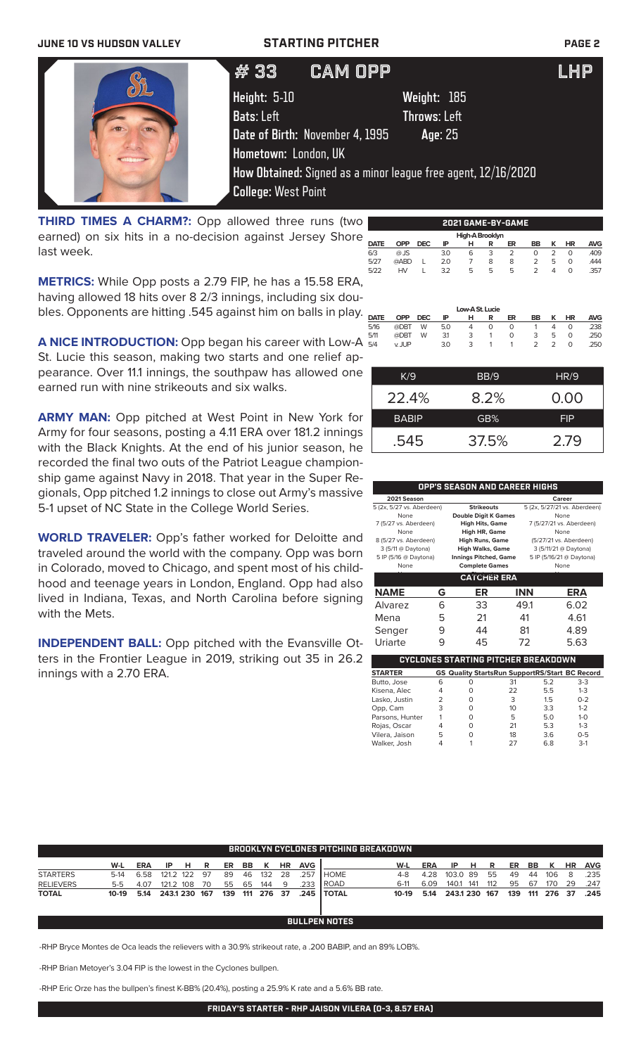# **JUNE 10 VS HUDSON VALLEY STARTING PITCHER PAGE 2**

| # 33                            | <b>CAM OPP</b>                                                | I HP |
|---------------------------------|---------------------------------------------------------------|------|
| <b>Height: 5-10</b>             | Weight: 185                                                   |      |
| Bats: Left                      | Throws: Left                                                  |      |
| Date of Birth: November 4, 1995 | Age: 25                                                       |      |
| Hometown: London, UK            |                                                               |      |
| <b>College: West Point</b>      | How Obtained: Signed as a minor league free agent, 12/16/2020 |      |
|                                 |                                                               |      |

**THIRD TIMES A CHARM?:** Opp allowed three runs (two earned) on six hits in a no-decision against Jersey Shore last week.

**METRICS:** While Opp posts a 2.79 FIP, he has a 15.58 ERA, having allowed 18 hits over 8 2/3 innings, including six doubles. Opponents are hitting .545 against him on balls in play. DATE

**High-A Brook**<br> **DATE OPP DEC IP H R DATE OPP DEC IP H R ER BB K HR AVG** 6/3 @ JS 3.0 6 3 2 0 2 0 .409 5/27 @ABD L 2.0 7 8 8 2 5 0 .444 5/22 HV L 3.2 5 5 5 2 4 0 .357 **Low-A St. Lucie**<br>**OPP DEC IP H R DATE OPP DEC IP H R ER BB K HR AVG** 5/16 @DBT W 5.0 4 0 0 1 4 0 .238 5/11 @DBT W 3.1 3 1 0 3 5 0 .250 5/4 v. JUP 3.0 3 1 1 2 2 0 .250

K/9 BB/9 HR/9

22.4% 8.2% 0.00 BABIP **GB%** FIP

.545 37.5% 2.79

**2021 GAME-BY-GAME**

A NICE INTRODUCTION: Opp began his career with Low-A  $\frac{2}{5/4}$ St. Lucie this season, making two starts and one relief appearance. Over 11.1 innings, the southpaw has allowed one earned run with nine strikeouts and six walks.

**ARMY MAN:** Opp pitched at West Point in New York for Army for four seasons, posting a 4.11 ERA over 181.2 innings with the Black Knights. At the end of his junior season, he recorded the final two outs of the Patriot League championship game against Navy in 2018. That year in the Super Regionals, Opp pitched 1.2 innings to close out Army's massive 5-1 upset of NC State in the College World Series.

**WORLD TRAVELER:** Opp's father worked for Deloitte and traveled around the world with the company. Opp was born in Colorado, moved to Chicago, and spent most of his childhood and teenage years in London, England. Opp had also lived in Indiana, Texas, and North Carolina before signing with the Mets.

**INDEPENDENT BALL:** Opp pitched with the Evansville Otters in the Frontier League in 2019, striking out 35 in 26.2 innings with a 2.70 ERA.

| OPP'S SEASON AND CAREER HIGHS |                    |                              |                          |                              |  |  |  |  |  |
|-------------------------------|--------------------|------------------------------|--------------------------|------------------------------|--|--|--|--|--|
| 2021 Season                   |                    |                              |                          | Career                       |  |  |  |  |  |
| 5 (2x, 5/27 vs. Aberdeen)     |                    | <b>Strikeouts</b>            |                          | 5 (2x, 5/27/21 vs. Aberdeen) |  |  |  |  |  |
| None                          |                    | <b>Double Digit K Games</b>  |                          | None                         |  |  |  |  |  |
| 7 (5/27 vs. Aberdeen)         |                    | <b>High Hits, Game</b>       | 7 (5/27/21 vs. Aberdeen) |                              |  |  |  |  |  |
| None                          |                    | High HR, Game                | None                     |                              |  |  |  |  |  |
| 8 (5/27 vs. Aberdeen)         |                    | <b>High Runs, Game</b>       | (5/27/21 vs. Aberdeen)   |                              |  |  |  |  |  |
| 3 (5/11 @ Daytona)            |                    | <b>High Walks, Game</b>      |                          | 3 (5/11/21 @ Daytona)        |  |  |  |  |  |
| 5 IP (5/16 @ Daytona)         |                    | <b>Innings Pitched, Game</b> |                          | 5 IP (5/16/21 @ Daytona)     |  |  |  |  |  |
| None                          |                    | <b>Complete Games</b>        |                          | None                         |  |  |  |  |  |
|                               | <b>CATCHER ERA</b> |                              |                          |                              |  |  |  |  |  |
| <b>NAME</b>                   | G                  | ER                           | <b>INN</b>               | ERA                          |  |  |  |  |  |
| Alvarez                       | ൳                  | 33                           | 49.1                     | 6.02                         |  |  |  |  |  |
| Mena                          | 5                  | 21                           | 41                       | 4.61                         |  |  |  |  |  |

| Alvarez                                    | h | 33                                                    | 49.1 |     | 6.UZ    |  |  |  |  |
|--------------------------------------------|---|-------------------------------------------------------|------|-----|---------|--|--|--|--|
| Mena                                       | 5 | 21                                                    | 41   |     | 4.61    |  |  |  |  |
| Senger                                     | 9 | 44                                                    | 81   |     | 4.89    |  |  |  |  |
| Uriarte                                    | 9 | 45                                                    | 72   |     | 5.63    |  |  |  |  |
| <b>CYCLONES STARTING PITCHER BREAKDOWN</b> |   |                                                       |      |     |         |  |  |  |  |
| <b>STARTER</b>                             |   | <b>GS Quality StartsRun SupportRS/Start BC Record</b> |      |     |         |  |  |  |  |
| Butto, Jose                                | 6 | O                                                     | 31   | 5.2 | $3-3$   |  |  |  |  |
| Kisena, Alec                               | 4 | 0                                                     | 22   | 5.5 | $1-3$   |  |  |  |  |
| Lasko, Justin                              | 2 | 0                                                     | 3    | 1.5 | $0 - 2$ |  |  |  |  |
| Opp, Cam                                   | 3 | 0                                                     | 10   | 3.3 | $1 - 2$ |  |  |  |  |
| Parsons, Hunter                            |   | 0                                                     | 5    | 5.0 | $1 - 0$ |  |  |  |  |
| Rojas, Oscar                               | 4 | 0                                                     | 21   | 5.3 | $1 - 3$ |  |  |  |  |
| Vilera, Jaison                             | 5 | $\Omega$                                              | 18   | 3.6 | $0 - 5$ |  |  |  |  |
| Walker, Josh                               | 4 |                                                       | 27   | 6.8 | $3-1$   |  |  |  |  |

| <b>BROOKLYN CYCLONES PITCHING BREAKDOWN</b> |                      |            |           |           |     |     |     |         |           |            |              |         |      |               |     |     |     |           |     |           |            |
|---------------------------------------------|----------------------|------------|-----------|-----------|-----|-----|-----|---------|-----------|------------|--------------|---------|------|---------------|-----|-----|-----|-----------|-----|-----------|------------|
|                                             | W-L                  | <b>ERA</b> | ΙP        | н         | R   | ER  | BB. | к       | <b>HR</b> | <b>AVG</b> |              | W-L     | ERA  | IP            | н   | R   | ER  | <b>BB</b> |     | <b>HR</b> | <b>AVG</b> |
| <b>STARTERS</b>                             | $5-14$               | 6.58       | 121.2 122 |           | 97  | 89  | 46  | 132     | -28       | .257       | <b>HOME</b>  | $4-8$   | 4.28 | 103.0 89      |     | 55  | 49  | 44        | 106 | 8         | .235       |
| <b>RELIEVERS</b>                            | $5-5$                | 4.07       |           | 121.2 108 | 70  | 55  | 65  | 144     | -9        | 233        | <b>ROAD</b>  | $6-11$  | 6.09 | 140.1         | 141 | 112 | 95  | 67        | 170 | 29        | .247       |
| <b>TOTAL</b>                                | 10-19                | 5.14       | 243.1 230 |           | 167 | 139 |     | 111 276 | - 37      | .245       | <b>TOTAL</b> | $10-19$ | 5.14 | 243.1 230 167 |     |     | 139 | 111       | 276 | 37        | .245       |
|                                             |                      |            |           |           |     |     |     |         |           |            |              |         |      |               |     |     |     |           |     |           |            |
|                                             | <b>BULLPEN NOTES</b> |            |           |           |     |     |     |         |           |            |              |         |      |               |     |     |     |           |     |           |            |

-RHP Bryce Montes de Oca leads the relievers with a 30.9% strikeout rate, a .200 BABIP, and an 89% LOB%.

-RHP Brian Metoyer's 3.04 FIP is the lowest in the Cyclones bullpen.

-RHP Eric Orze has the bullpen's finest K-BB% (20.4%), posting a 25.9% K rate and a 5.6% BB rate.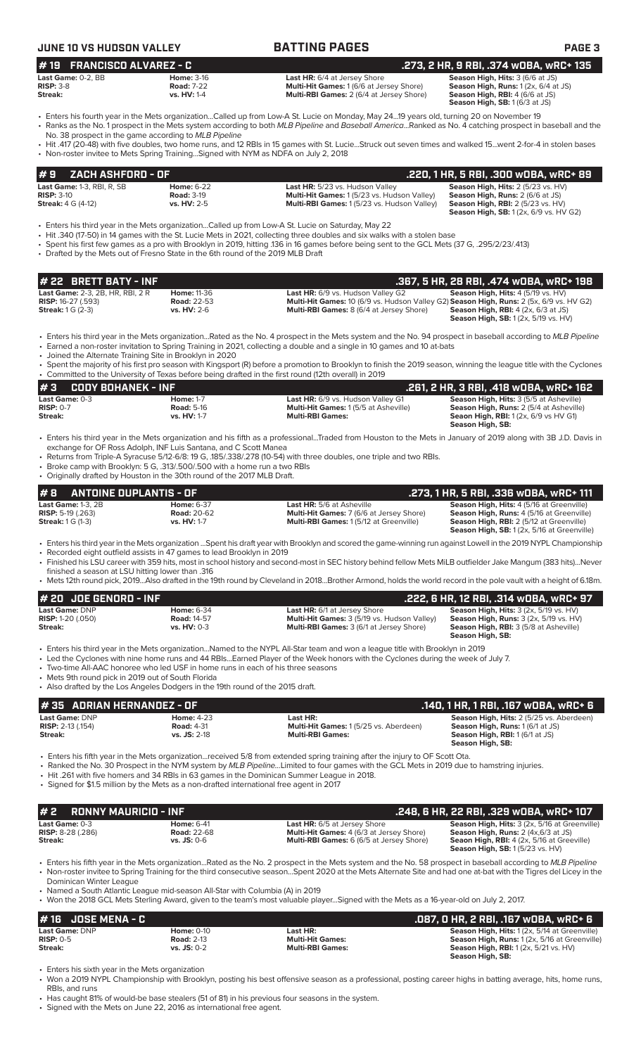| <b>JUNE 10 VS HUDSON VALLEY</b>                                                                                                               |                                                       | <b>BATTING PAGES</b>                                                                                                                                                                                                                                                                                                                                                                                                                                                                                                                                                      | <b>PAGE 3</b>                                                                                                                                                                           |
|-----------------------------------------------------------------------------------------------------------------------------------------------|-------------------------------------------------------|---------------------------------------------------------------------------------------------------------------------------------------------------------------------------------------------------------------------------------------------------------------------------------------------------------------------------------------------------------------------------------------------------------------------------------------------------------------------------------------------------------------------------------------------------------------------------|-----------------------------------------------------------------------------------------------------------------------------------------------------------------------------------------|
| <b>FRANCISCO ALVAREZ - C</b><br>#19<br>Last Game: 0-2, BB<br><b>RISP: 3-8</b><br>Streak:                                                      | <b>Home: 3-16</b><br><b>Road: 7-22</b><br>vs. HV: 1-4 | Last HR: 6/4 at Jersey Shore<br>Multi-Hit Games: 1 (6/6 at Jersey Shore)<br>Multi-RBI Games: 2 (6/4 at Jersey Shore)                                                                                                                                                                                                                                                                                                                                                                                                                                                      | .273, 2 HR, 9 RBI, .374 wOBA, wRC+ 135<br>Season High, Hits: 3 (6/6 at JS)<br>Season High, Runs: 1 (2x, 6/4 at JS)<br>Season High, RBI: 4 (6/6 at JS)<br>Season High, SB: 1 (6/3 at JS) |
| No. 38 prospect in the game according to MLB Pipeline<br>• Non-roster invitee to Mets Spring Training Signed with NYM as NDFA on July 2, 2018 |                                                       | • Enters his fourth year in the Mets organizationCalled up from Low-A St. Lucie on Monday, May 2419 years old, turning 20 on November 19<br>• Ranks as the No. 1 prospect in the Mets system according to both MLB Pipeline and Baseball AmericaRanked as No. 4 catching prospect in baseball and the<br>• Hit .417 (20-48) with five doubles, two home runs, and 12 RBIs in 15 games with St. LucieStruck out seven times and walked 15went 2-for-4 in stolen bases                                                                                                      |                                                                                                                                                                                         |
| ZACH ASHFORD - OF<br>#9                                                                                                                       |                                                       |                                                                                                                                                                                                                                                                                                                                                                                                                                                                                                                                                                           | .220, 1 HR, 5 RBI, .300 WOBA, WRC+ 89                                                                                                                                                   |
| Last Game: 1-3, RBI, R, SB<br><b>RISP: 3-10</b><br><b>Streak:</b> 4 G (4-12)                                                                  | <b>Home: 6-22</b><br><b>Road: 3-19</b><br>vs. HV: 2-5 | Last HR: 5/23 vs. Hudson Valley<br>Multi-Hit Games: 1 (5/23 vs. Hudson Valley)<br>Multi-RBI Games: 1 (5/23 vs. Hudson Valley)                                                                                                                                                                                                                                                                                                                                                                                                                                             | Season High, Hits: 2 (5/23 vs. HV)<br>Season High, Runs: 2 (6/6 at JS)<br>Season High, RBI: 2 (5/23 vs. HV)<br>Season High, SB: 1 (2x, 6/9 vs. HV G2)                                   |
| • Drafted by the Mets out of Fresno State in the 6th round of the 2019 MLB Draft                                                              |                                                       | • Enters his third year in the Mets organizationCalled up from Low-A St. Lucie on Saturday, May 22<br>• Hit .340 (17-50) in 14 games with the St. Lucie Mets in 2021, collecting three doubles and six walks with a stolen base<br>• Spent his first few games as a pro with Brooklyn in 2019, hitting .136 in 16 games before being sent to the GCL Mets (37 G, .295/2/23/.413)                                                                                                                                                                                          |                                                                                                                                                                                         |
| # 22 BRETT BATY - INF                                                                                                                         |                                                       |                                                                                                                                                                                                                                                                                                                                                                                                                                                                                                                                                                           | .367, 5 HR, 28 RBI, .474 wOBA, wRC+ 198                                                                                                                                                 |
| Last Game: 2-3, 2B, HR, RBI, 2 R<br><b>RISP: 16-27 (.593)</b><br><b>Streak: 1 G (2-3)</b>                                                     | Home: 11-36<br><b>Road: 22-53</b><br>vs. HV: 2-6      | Last HR: 6/9 vs. Hudson Valley G2<br>Multi-Hit Games: 10 (6/9 vs. Hudson Valley G2) Season High, Runs: 2 (5x, 6/9 vs. HV G2)<br>Multi-RBI Games: 8 (6/4 at Jersey Shore)                                                                                                                                                                                                                                                                                                                                                                                                  | Season High, Hits: 4 (5/19 vs. HV)<br><b>Season High, RBI: 4 (2x, 6/3 at JS)</b><br>Season High, SB: 1 (2x, 5/19 vs. HV)                                                                |
| • Joined the Alternate Training Site in Brooklyn in 2020                                                                                      |                                                       | • Enters his third year in the Mets organizationRated as the No. 4 prospect in the Mets system and the No. 94 prospect in baseball according to MLB Pipeline<br>• Earned a non-roster invitation to Spring Training in 2021, collecting a double and a single in 10 games and 10 at-bats<br>• Spent the majority of his first pro season with Kingsport (R) before a promotion to Brooklyn to finish the 2019 season, winning the league title with the Cyclones<br>• Committed to the University of Texas before being drafted in the first round (12th overall) in 2019 |                                                                                                                                                                                         |

**# 3 CODY BOHANEK - INF .261, 2 HR, 3 RBI, .418 wOBA, wRC+ 162**<br>Last Game: 0-3 **.261, 2 Home: 1-7** Last HR: 6/9 vs. Hudson Valley G1 **.261, 2 HR, 3 RBI, .418 wOBA, wRC+ 162**<br>RISP: 0-7 **.261, RISP: 0-7** Season High, Run **Last Game:** 0-3 **Home:** 1-7 **Last HR:** 6/9 vs. Hudson Valley G1 **Season High, Hits:** 3 (5/5 at Asheville) **Road: 5-16 Road: 5-16 Multi-Hit Games: 1 (5/5 at Asheville) Season High, Runs: 2 (5/4 at Asheville)**<br>**RISP: 0-7 <b>Road: 5-16 Multi-RBI Games: 1 (5/5 at Asheville) Season High, Runs: 2** (5/4 at Asheville)<br>**Streak: Seaon High, RBI:** 1 (2x, 6/9 vs HV G1) **Season High, SB:** 

• Enters his third year in the Mets organization and his fifth as a professional...Traded from Houston to the Mets in January of 2019 along with 3B J.D. Davis in exchange for OF Ross Adolph, INF Luis Santana, and C Scott Manea

- Returns from Triple-A Syracuse 5/12-6/8: 19 G, .185/.338/.278 (10-54) with three doubles, one triple and two RBIs.
- Broke camp with Brooklyn: 5 G, .313/.500/.500 with a home run a two RBIs

|                                                        | • Originally drafted by Houston in the 30th round of the 2017 MLB Draft. |                                                                                                                                                                 |                                                                                              |
|--------------------------------------------------------|--------------------------------------------------------------------------|-----------------------------------------------------------------------------------------------------------------------------------------------------------------|----------------------------------------------------------------------------------------------|
| $# 8$ ANTOINE DUPLANTIS - OF                           |                                                                          |                                                                                                                                                                 | .273. 1 HR. 5 RBI. .336 wOBA. wRC+ 111                                                       |
| Last Game: $1-3$ . $2B$                                | <b>Home: 6-37</b>                                                        | <b>Last HR:</b> 5/6 at Asheville                                                                                                                                | <b>Season High, Hits: 4 (5/16 at Greenville)</b>                                             |
| <b>RISP:</b> 5-19 $(.263)$<br><b>Streak:</b> 1 G (1-3) | <b>Road: 20-62</b><br>vs. HV: 1-7                                        | <b>Multi-Hit Games: 7 (6/6 at Jersey Shore)</b><br><b>Multi-RBI Games: 1(5/12 at Greenville)</b>                                                                | Season High, Runs: 4 (5/16 at Greenville)<br><b>Season High, RBI:</b> 2 (5/12 at Greenville) |
|                                                        |                                                                          |                                                                                                                                                                 | <b>Season High, SB:</b> 1 (2x, 5/16 at Greenville)                                           |
|                                                        |                                                                          | Fatage bis thind wearing the Mate equalization. Conset bis dualizacy with Duad by and accord the access with a spoint that are all in the OOM NIVEL Chappelaire |                                                                                              |

• Enters his third year in the Mets organization ...Spent his draft year with Brooklyn and scored the game-winning run against Lowell in the 2019 NYPL Championship

- Recorded eight outfield assists in 47 games to lead Brooklyn in 2019
- Finished his LSU career with 359 hits, most in school history and second-most in SEC history behind fellow Mets MiLB outfielder Jake Mangum (383 hits)...Never
- finished a season at LSU hitting lower than .316 • Mets 12th round pick, 2019...Also drafted in the 19th round by Cleveland in 2018...Brother Armond, holds the world record in the pole vault with a height of 6.18m.

| $# 20$ JOE GENORD - INF                                                                                                                                                                                                                                                                                                                                                                                                                                                                     |                                                          |                                                                                                                                | .222, 6 HR, 12 RBI, .314 wOBA, wRC+ 97                                                                                                                       |  |  |  |  |  |
|---------------------------------------------------------------------------------------------------------------------------------------------------------------------------------------------------------------------------------------------------------------------------------------------------------------------------------------------------------------------------------------------------------------------------------------------------------------------------------------------|----------------------------------------------------------|--------------------------------------------------------------------------------------------------------------------------------|--------------------------------------------------------------------------------------------------------------------------------------------------------------|--|--|--|--|--|
| Last Game: DNP<br><b>RISP:</b> $1-20$ $(.050)$<br>Streak:                                                                                                                                                                                                                                                                                                                                                                                                                                   | <b>Home: 6-34</b><br><b>Road: 14-57</b><br>$vs. HV: 0-3$ | <b>Last HR:</b> 6/1 at Jersey Shore<br>Multi-Hit Games: 3 (5/19 vs. Hudson Valley)<br>Multi-RBI Games: 3 (6/1 at Jersey Shore) | <b>Season High, Hits: 3 (2x, 5/19 vs. HV)</b><br><b>Season High, Runs: 3 (2x, 5/19 vs. HV)</b><br>Season High, RBI: 3 (5/8 at Asheville)<br>Season High, SB: |  |  |  |  |  |
| • Enters his third year in the Mets organizationNamed to the NYPL All-Star team and won a league title with Brooklyn in 2019<br>• Led the Cyclones with nine home runs and 44 RBIsEarned Player of the Week honors with the Cyclones during the week of July 7.<br>• Two-time All-AAC honoree who led USF in home runs in each of his three seasons<br>• Mets 9th round pick in 2019 out of South Florida<br>• Also drafted by the Los Angeles Dodgers in the 19th round of the 2015 draft. |                                                          |                                                                                                                                |                                                                                                                                                              |  |  |  |  |  |
|                                                                                                                                                                                                                                                                                                                                                                                                                                                                                             |                                                          |                                                                                                                                |                                                                                                                                                              |  |  |  |  |  |
| #35 ADRIAN HERNANDEZ - OF                                                                                                                                                                                                                                                                                                                                                                                                                                                                   |                                                          |                                                                                                                                | .140, 1 HR, 1 RBI, .167 wOBA, wRC+ 6                                                                                                                         |  |  |  |  |  |
| Last Game: DNP<br><b>RISP: 2-13 (.154)</b><br>Streak:                                                                                                                                                                                                                                                                                                                                                                                                                                       | <b>Home: 4-23</b><br><b>Road: 4-31</b><br>vs. JS: 2-18   | Last HR:<br>Multi-Hit Games: 1(5/25 vs. Aberdeen)<br><b>Multi-RBI Games:</b>                                                   | Season High, Hits: 2 (5/25 vs. Aberdeen)<br>Season High, Runs: 1 (6/1 at JS)<br>Season High, RBI: 1 (6/1 at JS)<br>Season High, SB:                          |  |  |  |  |  |

| $\sharp$ 2 RONNY MAURICIO - INF              |                                         |                                                                                        | .248, 6 HR, 22 RBI, .329 wOBA, wRC+ 107                                                               |
|----------------------------------------------|-----------------------------------------|----------------------------------------------------------------------------------------|-------------------------------------------------------------------------------------------------------|
| Last Game: 0-3<br><b>RISP:</b> $8-28$ (.286) | <b>Home: 6-41</b><br><b>Road: 22-68</b> | <b>Last HR:</b> 6/5 at Jersey Shore<br><b>Multi-Hit Games:</b> 4 (6/3 at Jersey Shore) | Season High, Hits: 3 (2x, 5/16 at Greenville)<br><b>Season High, Runs:</b> 2 (4x, 6/3 at JS)          |
| Streak:                                      | $vs.$ JS: 0-6                           | <b>Multi-RBI Games:</b> 6 (6/5 at Jersey Shore)                                        | <b>Seaon High, RBI:</b> 4 (2x, 5/16 at Greeville)<br><b>Season High, SB:</b> $1(5/23 \text{ vs. HV})$ |

• Enters his fifth year in the Mets organization...Rated as the No. 2 prospect in the Mets system and the No. 58 prospect in baseball according to *MLB Pipeline* • Non-roster invitee to Spring Training for the third consecutive season...Spent 2020 at the Mets Alternate Site and had one at-bat with the Tigres del Licey in the Dominican Winter League

• Named a South Atlantic League mid-season All-Star with Columbia (A) in 2019

• Won the 2018 GCL Mets Sterling Award, given to the team's most valuable player...Signed with the Mets as a 16-year-old on July 2, 2017.

| $#16$ JOSE MENA - C |                   |                         | .087, 0 HR, 2 RBI, .167 w0BA, wRC+ 6                 |
|---------------------|-------------------|-------------------------|------------------------------------------------------|
| Last Game: DNP      | <b>Home: 0-10</b> | Last HR:                | <b>Season High, Hits: 1(2x, 5/14 at Greenville)</b>  |
| $RISP: 0-5$         | <b>Road: 2-13</b> | <b>Multi-Hit Games:</b> | <b>Season High, Runs:</b> 1 (2x, 5/16 at Greenville) |
| Streak:             | $vs.$ JS: $0-2$   | <b>Multi-RBI Games:</b> | <b>Season High, RBI:</b> 1 (2x, 5/21 vs. HV)         |
|                     |                   |                         | Season High, SB:                                     |

• Enters his sixth year in the Mets organization

• Won a 2019 NYPL Championship with Brooklyn, posting his best offensive season as a professional, posting career highs in batting average, hits, home runs, RBIs, and runs

• Has caught 81% of would-be base stealers (51 of 81) in his previous four seasons in the system.

• Signed with the Mets on June 22, 2016 as international free agent.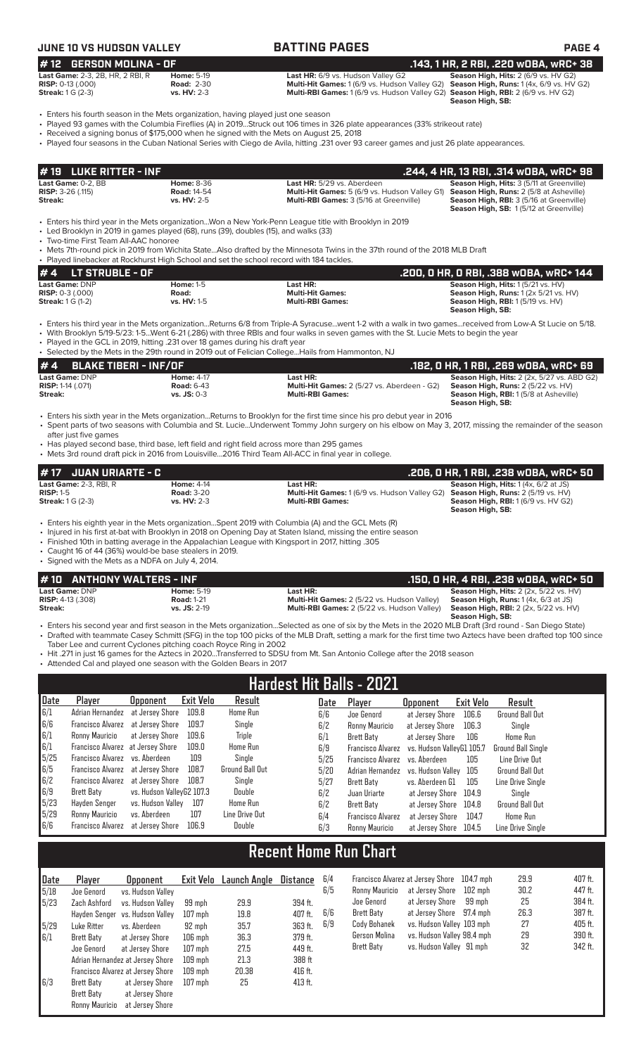### **JUNE 10 VS HUDSON VALLEY BATTING PAGES PAGE 4**

| l# 12   GERSON MOLINA - OF                                                                                                                                                    |                                    |                                                                                                                                                                                                                                                                         | .143, 1 HR, 2 RBI, .220 w0BA, wRC+ 38    |
|-------------------------------------------------------------------------------------------------------------------------------------------------------------------------------|------------------------------------|-------------------------------------------------------------------------------------------------------------------------------------------------------------------------------------------------------------------------------------------------------------------------|------------------------------------------|
| Last Game: 2-3, 2B, HR, 2 RBI, R                                                                                                                                              | <b>Home: 5-19</b>                  | Last HR: 6/9 vs. Hudson Valley G2                                                                                                                                                                                                                                       | Season High, Hits: 2 (6/9 vs. HV G2)     |
| <b>RISP:</b> $0-13$ $(.000)$<br><b>Streak:</b> 1 G (2-3)                                                                                                                      | <b>Road: 2-30</b><br>$vs. HV: 2-3$ | <b>Multi-Hit Games: 1 (6/9 vs. Hudson Valley G2)</b><br>Multi-RBI Games: 1 (6/9 vs. Hudson Valley G2) Season High, RBI: 2 (6/9 vs. HV G2)                                                                                                                               | Season High, Runs: 1 (4x, 6/9 vs. HV G2) |
|                                                                                                                                                                               |                                    |                                                                                                                                                                                                                                                                         | Season High, SB:                         |
| • Enters his fourth season in the Mets organization, having played just one season<br>• Received a signing bonus of \$175,000 when he signed with the Mets on August 25, 2018 |                                    | • Played 93 games with the Columbia Fireflies (A) in 2019Struck out 106 times in 326 plate appearances (33% strikeout rate)<br>• Played four seasons in the Cuban National Series with Ciego de Avila, hitting .231 over 93 career games and just 26 plate appearances. |                                          |

| $\sharp$ 19 $\;$ LUKE RITTER - INF $\;$ |                    |                                                                                                     | .244, 4 HR, 13 RBI, .314 wOBA, wRC+ 98                                                           |
|-----------------------------------------|--------------------|-----------------------------------------------------------------------------------------------------|--------------------------------------------------------------------------------------------------|
| Last Game: 0-2, BB                      | <b>Home: 8-36</b>  | Last HR: 5/29 vs. Aberdeen                                                                          | <b>Season High, Hits: 3 (5/11 at Greenville)</b>                                                 |
| <b>RISP:</b> $3-26$ (.115)              | <b>Road: 14-54</b> | <b>Multi-Hit Games:</b> 5 (6/9 vs. Hudson Valley G1) <b>Season High, Runs:</b> 2 (5/8 at Asheville) |                                                                                                  |
| Streak:                                 | $vs. HV: 2-5$      | <b>Multi-RBI Games: 3 (5/16 at Greenville)</b>                                                      | <b>Season High, RBI: 3 (5/16 at Greenville)</b><br><b>Season High, SB: 1(5/12 at Greenville)</b> |

• Enters his third year in the Mets organization...Won a New York-Penn League title with Brooklyn in 2019

Led Brooklyn in 2019 in games played (68), runs (39), doubles (15), and walks (33) • Two-time First Team All-AAC honoree

• Mets 7th-round pick in 2019 from Wichita State...Also drafted by the Minnesota Twins in the 37th round of the 2018 MLB Draft

**# 4 LT STRUBLE - OF .200, 0 HR, 0 RBI, .388 wOBA, wRC+ 144 Last Game:** DNP **Home:** 1-5 **Last HR: Season High, Hits:** 1 (5/21 vs. HV) **RISP:** 0-3 (.000) **Road: Multi-Hit Games: Season High, Runs:** 1 (2x 5/21 vs. HV) **Streak:** 1 G (1-2) **vs. HV:** 1-5 **Multi-RBI Games: Season High, RBI:** 1 (5/19 vs. HV) **Season High, SB:**  Played linebacker at Rockhurst High School and set the school record with 184 tackles.

• Enters his third year in the Mets organization...Returns 6/8 from Triple-A Syracuse...went 1-2 with a walk in two games...received from Low-A St Lucie on 5/18. • With Brooklyn 5/19-5/23: 1-5...Went 6-21 (.286) with three RBIs and four walks in seven games with the St. Lucie Mets to begin the year

• Played in the GCL in 2019, hitting .231 over 18 games during his draft year

|                            | • Selected by the Mets in the 29th round in 2019 out of Felician CollegeHails from Hammonton, NJ |                   |                                             |                                                    |  |  |  |  |  |
|----------------------------|--------------------------------------------------------------------------------------------------|-------------------|---------------------------------------------|----------------------------------------------------|--|--|--|--|--|
|                            | $\bm{H}$ 4 $\bm{B}$ ELAKE TIBERI - INF/OF                                                        |                   |                                             | . .182. O HR. 1 RBI. .269 wOBA. wRC+ 69            |  |  |  |  |  |
|                            | <b>Last Game: DNP</b>                                                                            | <b>Home: 4-17</b> | Last HR:                                    | <b>Season High, Hits: 2 (2x, 5/27 vs. ABD G2)</b>  |  |  |  |  |  |
| <b>RISP:</b> 1-14 $(.071)$ |                                                                                                  | <b>Road: 6-43</b> | Multi-Hit Games: 2 (5/27 vs. Aberdeen - G2) | <b>Season High, Runs:</b> $2(5/22 \text{ vs. HV})$ |  |  |  |  |  |
| Streak:                    |                                                                                                  | $vs.$ JS: 0-3     | <b>Multi-RBI Games:</b>                     | <b>Season High, RBI:</b> 1(5/8 at Asheville)       |  |  |  |  |  |
|                            |                                                                                                  |                   |                                             | Season High, SB:                                   |  |  |  |  |  |

• Enters his sixth year in the Mets organization...Returns to Brooklyn for the first time since his pro debut year in 2016 • Spent parts of two seasons with Columbia and St. Lucie...Underwent Tommy John surgery on his elbow on May 3, 2017, missing the remainder of the season after just five games

• Has played second base, third base, left field and right field across more than 295 games

• Mets 3rd round draft pick in 2016 from Louisville...2016 Third Team All-ACC in final year in college.

| # 17 JUAN URIARTE - C                        |                                        |                                                                                                            | .206, 0 HR, 1 RBI, .238 w0BA, wRC+ 50                         |
|----------------------------------------------|----------------------------------------|------------------------------------------------------------------------------------------------------------|---------------------------------------------------------------|
| <b>Last Game: 2-3. RBI. R</b><br>$RISP: 1-5$ | <b>Home: 4-14</b><br><b>Road: 3-20</b> | Last HR:<br><b>Multi-Hit Games:</b> 1 (6/9 vs. Hudson Valley G2) <b>Season High, Runs:</b> 2 (5/19 vs. HV) | <b>Season High, Hits:</b> $1(4x, 6/2$ at JS)                  |
| <b>Streak: 1 G (2-3)</b>                     | <b>vs. HV: 2-3</b>                     | <b>Multi-RBI Games:</b>                                                                                    | <b>Season High, RBI:</b> 1(6/9 vs. HV G2)<br>Season High, SB: |
|                                              |                                        | . Enters his eighth year in the Mets organization Spent 2019 with Columbia (A) and the GCL Mets (P)        |                                                               |

eighth year in the Mets organization...Spent 2019 with Columbia (A) and the GCL Mets (R)

• Injured in his first at-bat with Brooklyn in 2018 on Opening Day at Staten Island, missing the entire season • Finished 10th in batting average in the Appalachian League with Kingsport in 2017, hitting .305

• Caught 16 of 44 (36%) would-be base stealers in 2019.

• Signed with the Mets as a NDFA on July 4, 2014.

| # 10 ANTHONY WALTERS - INF |                   |                                                    | .150. 0 HR. 4 RBI. .238 w0BA. wRC+ 50         |
|----------------------------|-------------------|----------------------------------------------------|-----------------------------------------------|
| <b>Last Game: DNP</b>      | <b>Home: 5-19</b> | Last HR:                                           | <b>Season High, Hits: 2 (2x, 5/22 vs. HV)</b> |
| <b>RISP:</b> 4-13 (.308)   | <b>Road: 1-21</b> | <b>Multi-Hit Games:</b> 2 (5/22 vs. Hudson Valley) | <b>Season High, Runs:</b> $1(4x, 6/3$ at JS)  |
| Streak:                    | $vs.$ JS: 2-19    | Multi-RBI Games: 2 (5/22 vs. Hudson Valley)        | <b>Season High, RBI:</b> 2 (2x, 5/22 vs. HV)  |
|                            |                   |                                                    | Season High, SB:                              |
|                            |                   |                                                    |                                               |

• Enters his second year and first season in the Mets organization...Selected as one of six by the Mets in the 2020 MLB Draft (3rd round - San Diego State) • Drafted with teammate Casey Schmitt (SFG) in the top 100 picks of the MLB Draft, setting a mark for the first time two Aztecs have been drafted top 100 since Taber Lee and current Cyclones pitching coach Royce Ring in 2002

• Hit .271 in just 16 games for the Aztecs in 2020...Transferred to SDSU from Mt. San Antonio College after the 2018 season

• Attended Cal and played one season with the Golden Bears in 2017

| <b>Hardest Hit Balls - 2021</b> |                                   |                           |           |                        |      |                          |                           |           |                           |  |
|---------------------------------|-----------------------------------|---------------------------|-----------|------------------------|------|--------------------------|---------------------------|-----------|---------------------------|--|
| Date                            | Player                            | <b>Opponent</b>           | Exit Velo | Result                 | Date | Plaver                   | <b>Opponent</b>           | Exit Velo | Result                    |  |
| 6/1                             | Adrian Hernandez                  | at Jersev Shore           | 109.8     | Home Run               | 6/6  | Joe Genord               | at Jersey Shore           | 106.6     | <b>Ground Ball Out</b>    |  |
| 6/6                             | Francisco Alvarez                 | at Jersev Shore           | 109.7     | Single                 | 6/2  | Ronny Mauricio           | at Jersey Shore           | 106.3     | Sinale                    |  |
| 6/1                             | Ronny Mauricio                    | at Jersev Shore           | 109.6     | Triple                 | 6/1  | Brett Baty               | at Jersey Shore           | 106       | Home Run                  |  |
| 6/1                             | Francisco Alvarez at Jersey Shore |                           | 109.0     | Home Run               | 6/9  | <b>Francisco Alvarez</b> | vs. Hudson VallevG1 105.7 |           | <b>Ground Ball Single</b> |  |
| 5/25                            | Francisco Alvarez vs. Aberdeen    |                           | 109       | Single                 | 5/25 | <b>Francisco Alvarez</b> | vs. Aberdeen              | 105       | Line Drive Out            |  |
| 6/5                             | Francisco Alvarez at Jersey Shore |                           | 108.7     | <b>Ground Ball Out</b> | 5/20 | Adrian Hernandez         | vs. Hudson Vallev         | 105       | Ground Ball Out           |  |
| 6/2                             | Francisco Alvarez                 | at Jersev Shore           | 108.7     | Single                 | 5/27 | Brett Baty               | vs. Aberdeen G1           | 105       | Line Drive Single         |  |
| 6/9                             | <b>Brett Baty</b>                 | vs. Hudson ValleyG2 107.3 |           | Double                 | 6/2  | Juan Uriarte             | at Jersev Shore           | 104.9     | Sinale                    |  |
| 5/23                            | Havden Senoer                     | vs. Hudson Vallev         | 107       | Home Run               | 6/2  | Brett Baty               | at Jersev Shore           | 104.8     | <b>Ground Ball Out</b>    |  |
| 5/29                            | Ronny Mauricio                    | vs. Aberdeen              | 107       | Line Drive Out         | 6/4  | <b>Francisco Alvarez</b> | at Jersev Shore           | 104.7     | Home Run                  |  |
| 6/6                             | Francisco Alvarez                 | at Jersev Shore           | 106.9     | Double                 | 6/3  | Ronny Mauricio           | at Jersev Shore           | 104.5     | Line Drive Sinale         |  |

## **Recent Home Run Chart**

| ∥Date | Player         | <b>Opponent</b>                   |           | Exit Velo Launch Angle | <b>Distance</b> | 6 |
|-------|----------------|-----------------------------------|-----------|------------------------|-----------------|---|
| 5/18  | Joe Genord     | vs. Hudson Valley                 |           |                        |                 | 6 |
| 5/23  | Zach Ashford   | vs. Hudson Valley                 | 99 mph    | 29.9                   | 394 ft.         |   |
|       | Hayden Senger  | vs. Hudson Valley                 | $107$ mph | 19.8                   | 407 ft.         | 6 |
| 5/29  | Luke Ritter    | vs. Aberdeen                      | 92 mph    | 35.7                   | 363 ft.         | 6 |
| 6/1   | Brett Baty     | at Jersey Shore                   | $106$ mph | 36.3                   | 379 ft.         |   |
|       | Joe Genord     | at Jersey Shore                   | $107$ mph | 27.5                   | 449 ft.         |   |
|       |                | Adrian Hernandez at Jersey Shore  | $109$ mph | 21.3                   | 388 ft          |   |
|       |                | Francisco Alvarez at Jersey Shore | $109$ mph | 20.38                  | 416 ft.         |   |
| 16/3  | Brett Baty     | at Jersey Shore                   | $107$ mph | 25                     | 413 ft.         |   |
|       | Brett Baty     | at Jersey Shore                   |           |                        |                 |   |
|       | Ronny Mauricio | at Jersey Shore                   |           |                        |                 |   |

| 6/4 |                | Francisco Alvarez at Jersey Shore 104.7 mph |        | 29.9 | 407 ft. |
|-----|----------------|---------------------------------------------|--------|------|---------|
| 6/5 | Ronny Mauricio | at Jersey Shore 102 mph                     |        | 30.2 | 447 ft. |
|     | Joe Genord     | at Jersey Shore                             | 99 mph | 25   | 384 ft. |
| 6/6 | Brett Baty     | at Jersey Shore 97.4 mph                    |        | 26.3 | 387 ft. |
| 6/9 | Cody Bohanek   | vs. Hudson Valley 103 mph                   |        | 27   | 405 ft. |
|     | Gerson Molina  | vs. Hudson Valley 98.4 mph                  |        | 29   | 390 ft. |
|     | Brett Baty     | vs. Hudson Valley 91 mph                    |        | 32   | 342 ft. |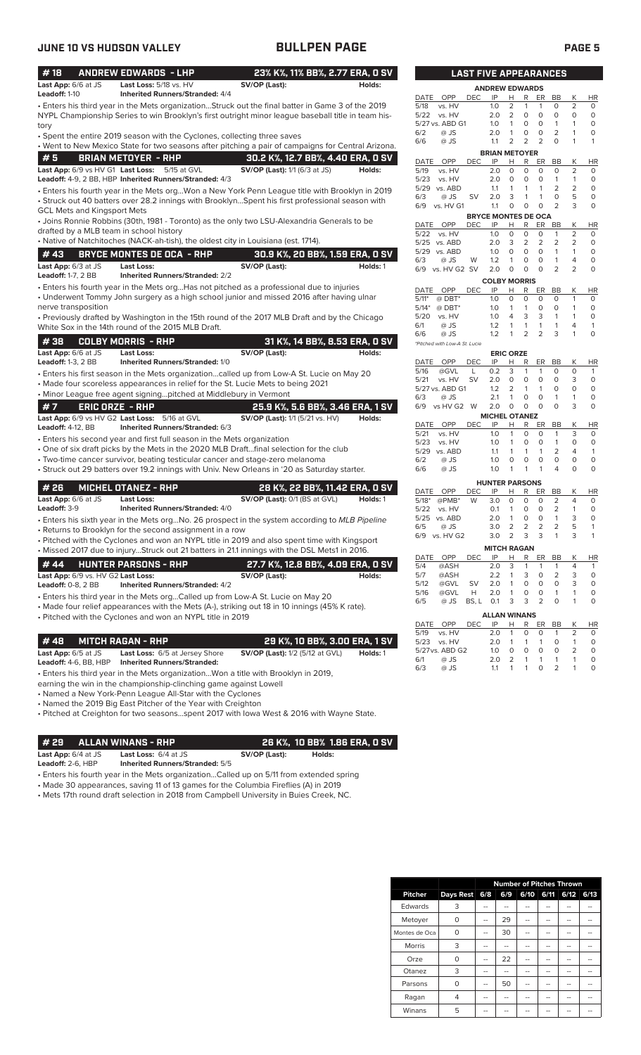| #18                                                           | <b>ANDREW EDWARDS - LHP</b>                                                                                                                           | 23% K%, 11% BB%, 2.77 ERA, 0 SV                                                                                                                                                                         |          |
|---------------------------------------------------------------|-------------------------------------------------------------------------------------------------------------------------------------------------------|---------------------------------------------------------------------------------------------------------------------------------------------------------------------------------------------------------|----------|
| Last App: 6/6 at JS                                           | Last Loss: 5/18 vs. HV                                                                                                                                | SV/OP (Last):                                                                                                                                                                                           | Holds:   |
| Leadoff: 1-10                                                 | <b>Inherited Runners/Stranded: 4/4</b>                                                                                                                |                                                                                                                                                                                                         |          |
| tory                                                          |                                                                                                                                                       | . Enters his third year in the Mets organizationStruck out the final batter in Game 3 of the 2019<br>NYPL Championship Series to win Brooklyn's first outright minor league baseball title in team his- |          |
|                                                               | • Spent the entire 2019 season with the Cyclones, collecting three saves                                                                              |                                                                                                                                                                                                         |          |
|                                                               |                                                                                                                                                       | • Went to New Mexico State for two seasons after pitching a pair of campaigns for Central Arizona.                                                                                                      |          |
| #5                                                            | <b>BRIAN METOYER - RHP</b>                                                                                                                            | 30.2 K%, 12.7 BB%, 4.40 ERA, 0 SV                                                                                                                                                                       |          |
| Last App: 6/9 vs HV G1 Last Loss:                             | 5/15 at GVL<br>Leadoff: 4-9, 2 BB, HBP Inherited Runners/Stranded: 4/3                                                                                | <b>SV/OP (Last):</b> 1/1 (6/3 at JS)                                                                                                                                                                    | Holds:   |
| <b>GCL Mets and Kingsport Mets</b>                            |                                                                                                                                                       | • Enters his fourth year in the Mets orgWon a New York Penn League title with Brooklyn in 2019<br>• Struck out 40 batters over 28.2 innings with BrooklynSpent his first professional season with       |          |
| drafted by a MLB team in school history                       |                                                                                                                                                       | • Joins Ronnie Robbins (30th, 1981 - Toronto) as the only two LSU-Alexandria Generals to be                                                                                                             |          |
|                                                               | • Native of Natchitoches (NACK-ah-tish), the oldest city in Louisiana (est. 1714).                                                                    |                                                                                                                                                                                                         |          |
| #43                                                           | <b>BRYCE MONTES DE OCA - RHP</b>                                                                                                                      | 30.9 K%, 20 BB%, 1.59 ERA, 0 SV                                                                                                                                                                         |          |
| Last App: 6/3 at JS<br><b>Leadoff: 1-7, 2 BB</b>              | Last Loss:<br><b>Inherited Runners/Stranded: 2/2</b>                                                                                                  | SV/OP (Last):                                                                                                                                                                                           | Holds: 1 |
|                                                               |                                                                                                                                                       | • Enters his fourth year in the Mets orgHas not pitched as a professional due to injuries<br>• Underwent Tommy John surgery as a high school junior and missed 2016 after having ulnar                  |          |
| nerve transposition                                           |                                                                                                                                                       | • Previously drafted by Washington in the 15th round of the 2017 MLB Draft and by the Chicago                                                                                                           |          |
|                                                               | White Sox in the 14th round of the 2015 MLB Draft.                                                                                                    |                                                                                                                                                                                                         |          |
| #38                                                           | <b>COLBY MORRIS - RHP</b>                                                                                                                             | 31 K%, 14 BB%, 8.53 ERA, 0 SV                                                                                                                                                                           |          |
| Last App: 6/6 at JS<br><b>Leadoff: 1-3, 2 BB</b>              | <b>Last Loss:</b><br>Inherited Runners/Stranded: 1/0                                                                                                  | SV/OP (Last):                                                                                                                                                                                           | Holds:   |
|                                                               | • Made four scoreless appearances in relief for the St. Lucie Mets to being 2021<br>• Minor League free agent signingpitched at Middlebury in Vermont | • Enters his first season in the Mets organizationcalled up from Low-A St. Lucie on May 20                                                                                                              |          |
| #7                                                            | <b>ERIC ORZE - RHP</b>                                                                                                                                | 25.9 K%, 5.6 BB%, 3.46 ERA, 1 SV                                                                                                                                                                        |          |
| Last App: 6/9 vs HV G2 Last Loss:<br><b>Leadoff: 4-12, BB</b> | 5/16 at GVL<br>Inherited Runners/Stranded: 6/3                                                                                                        | <b>SV/OP (Last):</b> 1/1 (5/21 vs. HV)                                                                                                                                                                  | Holds:   |
|                                                               | • Enters his second year and first full season in the Mets organization                                                                               |                                                                                                                                                                                                         |          |
|                                                               | • One of six draft picks by the Mets in the 2020 MLB Draftfinal selection for the club                                                                |                                                                                                                                                                                                         |          |
|                                                               | • Two-time cancer survivor, beating testicular cancer and stage-zero melanoma                                                                         | • Struck out 29 batters over 19.2 innings with Univ. New Orleans in '20 as Saturday starter.                                                                                                            |          |
| #26                                                           | <b>MICHEL OTANEZ - RHP</b>                                                                                                                            | 28 K%, 22 BB%, 11.42 ERA, 0 SV                                                                                                                                                                          |          |
| Last App: 6/6 at JS                                           | <b>Last Loss:</b>                                                                                                                                     | SV/OP (Last): 0/1 (BS at GVL)                                                                                                                                                                           | Holds: 1 |
| Leadoff: 3-9                                                  | <b>Inherited Runners/Stranded: 4/0</b>                                                                                                                |                                                                                                                                                                                                         |          |
|                                                               |                                                                                                                                                       | • Enters his sixth year in the Mets orgNo. 26 prospect in the system according to MLB Pipeline                                                                                                          |          |
|                                                               | • Returns to Brooklyn for the second assignment in a row                                                                                              |                                                                                                                                                                                                         |          |
|                                                               |                                                                                                                                                       | • Pitched with the Cyclones and won an NYPL title in 2019 and also spent time with Kingsport<br>. Missed 2017 due to injuryStruck out 21 batters in 21.1 innings with the DSL Mets1 in 2016.            |          |
| #44                                                           | <b>HUNTER PARSONS - RHP</b>                                                                                                                           | 27.7 K%, 12.8 BB%, 4.09 ERA, 0 SV                                                                                                                                                                       |          |
| Last App: 6/9 vs. HV G2 Last Loss:                            |                                                                                                                                                       | SV/OP (Last):                                                                                                                                                                                           | Holds:   |
| <b>Leadoff: 0-8, 2 BB</b>                                     | <b>Inherited Runners/Stranded: 4/2</b>                                                                                                                |                                                                                                                                                                                                         |          |
|                                                               | • Enters his third year in the Mets orgCalled up from Low-A St. Lucie on May 20<br>. Pitched with the Cyclones and won an NYPL title in 2019          | • Made four relief appearances with the Mets (A-), striking out 18 in 10 innings (45% K rate).                                                                                                          |          |
| #48                                                           | <b>MITCH RAGAN - RHP</b>                                                                                                                              | 29 K%, 10 BB%, 3.00 ERA, 1 SV                                                                                                                                                                           |          |
| <b>Last App:</b> $6/5$ at JS                                  | Last Loss: 6/5 at Jersey Shore                                                                                                                        | <b>SV/OP (Last):</b> 1/2 (5/12 at GVL)                                                                                                                                                                  | Holds: 1 |
| Leadoff: 4-6, BB, HBP                                         | <b>Inherited Runners/Stranded:</b>                                                                                                                    |                                                                                                                                                                                                         |          |

• Enters his third year in the Mets organization...Won a title with Brooklyn in 2019,

earning the win in the championship-clinching game against Lowell

• Named a New York-Penn League All-Star with the Cyclones

• Named the 2019 Big East Pitcher of the Year with Creighton

• Pitched at Creighton for two seasons...spent 2017 with Iowa West & 2016 with Wayne State.

**# 29 ALLAN WINANS - RHP 26 K%, 10 BB% 1.86 ERA, 0 SV**

**Last App:** 6/4 at JS **Last Loss:** 6/4 at JS **SV/OP (Last): Holds: Leadoff:** 2-6, HBP **Inherited Runners/Stranded:** 5/5

• Enters his fourth year in the Mets organization...Called up on 5/11 from extended spring

• Made 30 appearances, saving 11 of 13 games for the Columbia Fireflies (A) in 2019

• Mets 17th round draft selection in 2018 from Campbell University in Buies Creek, NC.

|                                              |            | <b>LAST FIVE APPEARANCES</b> |                |                |                |                |                |           |
|----------------------------------------------|------------|------------------------------|----------------|----------------|----------------|----------------|----------------|-----------|
|                                              |            | <b>ANDREW EDWARDS</b>        |                |                |                |                |                |           |
| <b>DATE</b><br>OPP                           | DEC        | IP                           | Н              | R              | ER             | BB             | Κ              | HR        |
| 5/18<br>vs. HV                               |            | 1.0                          | 2              | 1              | 1              | 0              | 2              | 0         |
| 5/22<br>vs. HV                               |            | 2.0                          | 2              | 0              | 0              | 0              | 0              | 0         |
| 5/27 vs. ABD G1                              |            | 1.0                          | 1              | 0              | 0              | 1              | 1              | 0         |
| 6/2<br>$@$ JS                                |            | 2.0                          | 1              | 0              | 0              | 2              | 1              | 0         |
| @ JS<br>6/6                                  |            | 1.1                          | 2              | 2              | 2              | 0              | 1              | 1         |
|                                              |            | <b>BRIAN METOYER</b>         |                |                |                |                |                |           |
| OPP<br>DATE                                  | DEC        | IP                           | Н              | R              | ER             | <b>BB</b>      | Κ              | HR        |
| 5/19<br>vs. HV                               |            | 2.0                          | 0              | 0              | 0              | 0              | 2              | 0         |
| 5/23<br>vs. HV                               |            | 2.0                          | 0              | 0              | 0              | 1              | 1              | 0         |
| 5/29<br>vs. ABD                              |            | 1.1                          | 1              | 1              | 1              | $\overline{2}$ | $\overline{2}$ | 0         |
| 6/3<br>@ JS                                  | SV         | 2.0                          | 3              | 1              | 1              | 0              | 5              | 0         |
| 6/9<br>vs. HV G1                             |            | 1.1                          | 0              | 0              | 0              | $\overline{2}$ | 3              | 0         |
|                                              |            | <b>BRYCE MONTES DE OCA</b>   |                |                |                |                |                |           |
| DATE<br>OPP                                  | DEC        | IP                           | Н              | R              | ER             | BB             | Κ              | HR        |
| 5/22<br>vs. HV                               |            | 1.0                          | 0              | 0              | 0              | 1              | 2              | 0         |
| 5/25<br>vs. ABD                              |            | 2.0                          | 3              | 2              | 2              | 2              | $\overline{2}$ | 0         |
| 5/29<br>vs. ABD                              |            | 1.0                          | 0              | 0              | 0              | 1              | 1              | 0         |
| 6/3<br>@ JS                                  | W          | 1.2                          | 1              | 0              | 0              | 1              | 4              | 0         |
| 6/9<br>vs. HV G2                             | SV         | 2.0                          | 0              | 0              | 0              | 2              | $\overline{2}$ | 0         |
|                                              |            | <b>COLBY MORRIS</b>          |                |                |                |                |                |           |
| DATE<br>OPP<br>$5/11*$                       | <b>DEC</b> | IP                           | н              | R              | ER             | <b>BB</b>      | Κ              | <b>HR</b> |
| $@$ DBT*                                     |            | 1.0                          | 0              | 0              | 0              | 0              | 1              | 0         |
| $5/14*$<br>$@$ DBT*                          |            | 1.0                          | 1              | 1              | 0              | 0              | 1              | 0         |
| 5/20<br>vs. HV                               |            | 1.0                          | 4              | 3              | 3              | 1              | 1              | 0         |
| @ JS<br>6/1                                  |            | 1.2                          | 1              | 1              | 1              | 1              | 4              | 1         |
| 6/6<br>@ JS<br>*Pitched with Low-A St. Lucie |            | 1.2                          | 1              | $\overline{2}$ | $\overline{2}$ | 3              | 1              | 0         |
|                                              |            | <b>ERIC ORZE</b>             |                |                |                |                |                |           |
| DATE<br>OPP                                  | <b>DEC</b> | IP                           | н              | R              | ER             | <b>BB</b>      | Κ              | <b>HR</b> |
| 5/16<br>@GVL                                 | L          | 0.2                          | 3              | 1              | 1              | 0              | 0              | 1         |
| 5/21<br>vs. HV                               | SV         | 2.0                          | 0              | 0              | 0              | 0              | 3              | 0         |
| 5/27 vs. ABD G1                              |            | 1.2                          | 2              | 1              | 1              | 0              | 0              | 0         |
| @ JS<br>6/3                                  |            | 2.1                          | 1              | 0              | 0              | 1              | 1              | 0         |
| 6/9<br>vs HV G2                              | W          | 2.0                          | 0              | 0              | 0              | 0              | 3              | 0         |
|                                              |            | <b>MICHEL OTANEZ</b>         |                |                |                |                |                |           |
| DATE<br>OPP<br>5/21<br>vs. HV                | DEC        | IP<br>1.0                    | Н<br>1         | R<br>0         | ER<br>0        | BB<br>1        | Κ<br>3         | ΗR<br>0   |
| 5/23<br>vs. HV                               |            | 1.0                          | 1              | 0              | 0              | 1              | 0              | 0         |
| 5/29<br>vs. ABD                              |            | 1.1                          | 1              | 1              | 1              | 2              | 4              | 1         |
| @ JS<br>6/2                                  |            | 1.0                          | 0              | 0              | 0              | 0              | 0              | 0         |
| 6/6<br>@ JS                                  |            | 1.0                          | 1              | 1              | 1              | 4              | 0              | 0         |
|                                              |            |                              |                |                |                |                |                |           |
|                                              |            | <b>HUNTER PARSONS</b>        |                |                |                |                |                |           |
| DATE<br><b>OPP</b>                           | DEC        | IP                           | н              | R              | ER             | BB             | Κ              | <b>HR</b> |
| $5/18*$<br>@PMB*                             | W          | 3.0                          | 0              | 0              | 0              | 2              | 4              | 0         |
| 5/22<br>vs. HV                               |            | 0.1                          | 1              | 0              | 0              | 2              | 1              | 0         |
| 5/25<br>vs. ABD                              |            | 2.0                          | 1              | 0              | 0              | 1              | 3              | 0         |
| 6/5<br>@ JS                                  |            | 3.0                          | $\overline{2}$ | 2              | 2              | 2              | 5              | 1         |
| 6/9<br>vs. HV G2                             |            | 3.0                          | 2              | 3              | 3              | 1              | 3              | 1         |
|                                              |            | <b>MITCH RAGAN</b>           |                |                |                |                |                |           |
| DATE<br>OPP                                  | DEC        | ΙP                           | Н              | R              | ER             | BВ             | Κ              | ΗR        |
| 5/4<br>@ASH                                  |            | 2.0                          | 3              | 1              | 1              | 1              | 4              | 1         |
| 5/7<br>@ASH                                  |            | 2.2                          | 1              | 3              | 0              | 2              | 3              | 0         |
| 5/12<br>@GVL                                 | <b>SV</b>  | 2.0                          | 1              | 0              | 0              | 0              | 3              | 0         |
| 5/16<br>@GVL                                 | н          | 2.0                          | 1              | 0              | 0              | 1              | 1              | 0         |
| 6/5<br>@ JS                                  | BS, L      | 0.1                          | 3              | 3              | $\overline{2}$ | 0              | 1              | 0         |
|                                              |            | <b>ALLAN WINANS</b>          |                |                |                |                |                |           |
|                                              |            |                              |                |                |                |                |                |           |

|     |                 |      | ALLAN WINANS  |                |                |            |                |                |          |
|-----|-----------------|------|---------------|----------------|----------------|------------|----------------|----------------|----------|
|     | DATE OPP        | DEC. | IP -          |                |                |            | HR ER BB       | K              | HR       |
|     | 5/19 vs. HV     |      | $2.0 \quad 1$ |                |                | $0\quad 0$ | $\overline{1}$ |                | $\Omega$ |
|     | 5/23 vs. HV     |      | 2 O           | 1              |                | 1 1        | $\Omega$       | $\overline{1}$ | $\Omega$ |
|     | 5/27 vs. ABD G2 |      | 1 $\Omega$    | $\Omega$       | $\Omega$       | $\Omega$   | $\Omega$       |                |          |
| 6/1 | @ JS            |      | 2 O           | $\overline{2}$ | $\overline{1}$ |            | $1 \quad 1$    | $\overline{1}$ | O        |
| 6/3 | $@$ JS          |      | 11            |                | $\overline{1}$ | $\Omega$   | 2              |                | ∩        |

|                | <b>Number of Pitches Thrown</b> |     |     |      |      |      |      |  |
|----------------|---------------------------------|-----|-----|------|------|------|------|--|
| <b>Pitcher</b> | Days Rest                       | 6/8 | 6/9 | 6/10 | 6/11 | 6/12 | 6/13 |  |
| Edwards        | 3                               |     |     |      |      |      |      |  |
| Metoyer        | O                               |     | 29  |      |      |      |      |  |
| Montes de Oca  | O                               |     | 30  |      |      |      |      |  |
| <b>Morris</b>  | 3                               |     |     |      |      |      |      |  |
| Orze           | O                               |     | 22  |      |      |      |      |  |
| Otanez         | 3                               |     | --  | --   |      |      |      |  |
| Parsons        | $\Omega$                        |     | 50  |      |      |      |      |  |
| Ragan          | 4                               |     | --  | --   | --   | --   |      |  |
| Winans         | 5                               |     |     |      |      |      |      |  |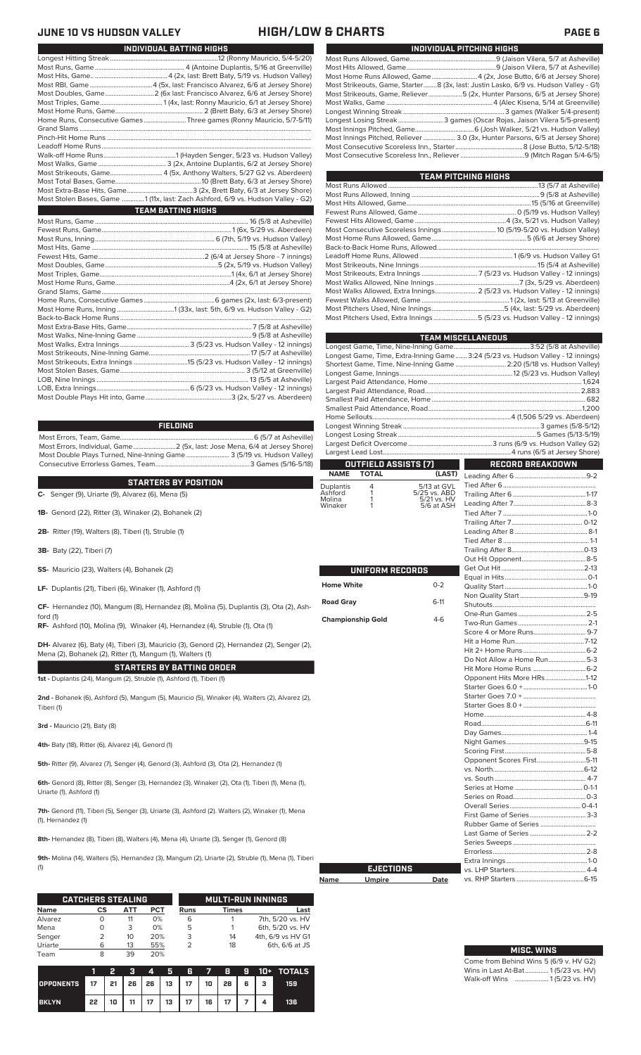## **HIGH/LOW & CHARTS PAGE 6**

 $\mathbb{R}^n$ 

| JUNE 10 VS HUDSON VALLEY                | HIGH/LUV                                                                         |
|-----------------------------------------|----------------------------------------------------------------------------------|
|                                         | INDIVIDUAL BATTING HIGHS                                                         |
|                                         |                                                                                  |
|                                         |                                                                                  |
|                                         |                                                                                  |
|                                         |                                                                                  |
|                                         |                                                                                  |
|                                         |                                                                                  |
|                                         |                                                                                  |
|                                         | Home Runs, Consecutive Games Three games (Ronny Mauricio, 5/7-5/11)              |
|                                         |                                                                                  |
|                                         |                                                                                  |
|                                         |                                                                                  |
|                                         |                                                                                  |
|                                         |                                                                                  |
|                                         |                                                                                  |
|                                         |                                                                                  |
|                                         |                                                                                  |
|                                         | Most Stolen Bases, Game  1 (11x, last: Zach Ashford, 6/9 vs. Hudson Valley - G2) |
| $\mathcal{L}^{\text{max}}_{\text{max}}$ | <b>TEAM BATTING HIGHS</b>                                                        |
|                                         |                                                                                  |
|                                         |                                                                                  |
|                                         |                                                                                  |
|                                         |                                                                                  |
|                                         |                                                                                  |
|                                         |                                                                                  |
|                                         |                                                                                  |
|                                         |                                                                                  |
|                                         |                                                                                  |
|                                         |                                                                                  |
|                                         |                                                                                  |
|                                         |                                                                                  |
|                                         |                                                                                  |
|                                         |                                                                                  |
|                                         |                                                                                  |
|                                         |                                                                                  |
|                                         |                                                                                  |
|                                         |                                                                                  |
|                                         |                                                                                  |
|                                         |                                                                                  |
|                                         |                                                                                  |

### **FIELDING**

Most Errors, Team, Game...............................................................................6 (5/7 at Asheville) Most Errors, Individual, Game.........................2 (5x, last: Jose Mena, 6/4 at Jersey Shore) Most Double Plays Turned, Nine-Inning Game.......................... 3 (5/19 vs. Hudson Valley) Consecutive Errorless Games, Team...

**C-** Senger (9), Uriarte (9), Alvarez (6), Mena (5) **STARTERS BY POSITION**

**1B-** Genord (22), Ritter (3), Winaker (2), Bohanek (2)

**2B-** Ritter (19), Walters (8), Tiberi (1), Struble (1)

**3B-** Baty (22), Tiberi (7)

ford (1)

**SS-** Mauricio (23), Walters (4), Bohanek (2)

**LF-** Duplantis (21), Tiberi (6), Winaker (1), Ashford (1)

**CF-** Hernandez (10), Mangum (8), Hernandez (8), Molina (5), Duplantis (3), Ota (2), Ash-

**RF-** Ashford (10), Molina (9), Winaker (4), Hernandez (4), Struble (1), Ota (1)

**DH-** Alvarez (6), Baty (4), Tiberi (3), Mauricio (3), Genord (2), Hernandez (2), Senger (2), Mena (2), Bohanek (2), Ritter (1), Mangum (1), Walters (1)

**STARTERS BY BATTING ORDER 1st -** Duplantis (24), Mangum (2), Struble (1), Ashford (1), Tiberi (1)

**2nd -** Bohanek (6), Ashford (5), Mangum (5), Mauricio (5), Winaker (4), Walters (2), Alvarez (2), Tiberi (1)

**3rd -** Mauricio (21), Baty (8)

**4th-** Baty (18), Ritter (6), Alvarez (4), Genord (1)

**5th-** Ritter (9), Alvarez (7), Senger (4), Genord (3), Ashford (3), Ota (2), Hernandez (1)

**6th-** Genord (8), Ritter (8), Senger (3), Hernandez (3), Winaker (2), Ota (1), Tiberi (1), Mena (1), Uriarte (1), Ashford (1)

**7th-** Genord (11), Tiberi (5), Senger (3), Uriarte (3), Ashford (2). Walters (2), Winaker (1), Mena (1), Hernandez (1)

**8th-** Hernandez (8), Tiberi (8), Walters (4), Mena (4), Uriarte (3), Senger (1), Genord (8)

**9th-** Molina (14), Walters (5), Hernandez (3), Mangum (2), Uriarte (2), Struble (1), Mena (1), Tiberi (1)

|             | <b>CATCHERS STEALING</b> |     |            |      | <b>MULTI-RUN INNINGS</b> |                   |  |  |
|-------------|--------------------------|-----|------------|------|--------------------------|-------------------|--|--|
| <b>Name</b> | CS                       | АТТ | <b>PCT</b> | Runs | Times                    | Last              |  |  |
| Alvarez     |                          | 11  | 0%         | 6    |                          | 7th, 5/20 vs. HV  |  |  |
| Mena        |                          | 3   | 0%         | 5    |                          | 6th, 5/20 vs. HV  |  |  |
| Senger      | 2                        | 10  | 20%        | 3    | 14                       | 4th, 6/9 vs HV G1 |  |  |
| Uriarte     | 6                        | 13  | 55%        |      | 18                       | 6th, 6/6 at JS    |  |  |
| Team        |                          | 39  | 20%        |      |                          |                   |  |  |

|                                       |    | Σ. |  |                                      |  |  | 3 4 5 6 7 8 9 10 + TOTALS |
|---------------------------------------|----|----|--|--------------------------------------|--|--|---------------------------|
| OPPONENTS 17 21 26 26 13 17 10 28 6 3 |    |    |  |                                      |  |  | 159                       |
| <b>BKLYN</b>                          | 22 |    |  | 10   11   17   13   17   16   17   7 |  |  | 136                       |

| Most Home Runs Allowed, Game4 (2x, Jose Butto, 6/6 at Jersey Shore)                  |
|--------------------------------------------------------------------------------------|
|                                                                                      |
|                                                                                      |
|                                                                                      |
| Most Strikeouts, Game, Starter8 (3x, last: Justin Lasko, 6/9 vs. Hudson Valley - G1) |
| Most Strikeouts, Game, Reliever……………………5 (2x, Hunter Parsons, 6/5 at Jersey Shore)   |
|                                                                                      |
|                                                                                      |
| Longest Losing Streak3 games (Oscar Rojas, Jaison Vilera 5/5-present)                |
|                                                                                      |
| Most Innings Pitched, Reliever  3.0 (3x, Hunter Parsons, 6/5 at Jersey Shore)        |
|                                                                                      |
|                                                                                      |
|                                                                                      |

| <b>TEAM PITCHING HIGHS</b>                                                |  |  |  |  |  |
|---------------------------------------------------------------------------|--|--|--|--|--|
|                                                                           |  |  |  |  |  |
|                                                                           |  |  |  |  |  |
|                                                                           |  |  |  |  |  |
|                                                                           |  |  |  |  |  |
|                                                                           |  |  |  |  |  |
|                                                                           |  |  |  |  |  |
|                                                                           |  |  |  |  |  |
|                                                                           |  |  |  |  |  |
|                                                                           |  |  |  |  |  |
|                                                                           |  |  |  |  |  |
|                                                                           |  |  |  |  |  |
|                                                                           |  |  |  |  |  |
| Most Walks Allowed, Extra Innings 2 (5/23 vs. Hudson Valley - 12 innings) |  |  |  |  |  |
|                                                                           |  |  |  |  |  |
|                                                                           |  |  |  |  |  |
| Most Pitchers Used, Extra Innings5 (5/23 vs. Hudson Valley - 12 innings)  |  |  |  |  |  |

|                          |                      |                             | <b>TEAM MISCELLANEOUS</b>                                                        |  |  |  |  |
|--------------------------|----------------------|-----------------------------|----------------------------------------------------------------------------------|--|--|--|--|
|                          |                      |                             |                                                                                  |  |  |  |  |
|                          |                      |                             | Longest Game, Time, Extra-Inning Game 3:24 (5/23 vs. Hudson Valley - 12 innings) |  |  |  |  |
|                          |                      |                             | Shortest Game, Time, Nine-Inning Game  2:20 (5/18 vs. Hudson Valley)             |  |  |  |  |
|                          |                      |                             |                                                                                  |  |  |  |  |
|                          |                      |                             |                                                                                  |  |  |  |  |
|                          |                      |                             |                                                                                  |  |  |  |  |
|                          |                      |                             |                                                                                  |  |  |  |  |
|                          |                      |                             |                                                                                  |  |  |  |  |
|                          |                      |                             |                                                                                  |  |  |  |  |
|                          |                      |                             |                                                                                  |  |  |  |  |
|                          |                      |                             |                                                                                  |  |  |  |  |
|                          |                      |                             |                                                                                  |  |  |  |  |
|                          | OUTFIELD ASSISTS (7) |                             | <b>RECORD BREAKDOWN</b>                                                          |  |  |  |  |
| <b>NAME</b>              | <b>TOTAL</b>         | (LAST)                      |                                                                                  |  |  |  |  |
| Duplantis                | 4<br>1               | 5/13 at GVL                 |                                                                                  |  |  |  |  |
| Ashford<br>Molina        | 1                    | 5/25 vs. ABD<br>5/21 vs. HV |                                                                                  |  |  |  |  |
| Winaker                  | 1                    | 5/6 at ASH                  |                                                                                  |  |  |  |  |
|                          |                      |                             |                                                                                  |  |  |  |  |
|                          |                      |                             |                                                                                  |  |  |  |  |
|                          |                      |                             |                                                                                  |  |  |  |  |
|                          |                      |                             |                                                                                  |  |  |  |  |
|                          |                      |                             |                                                                                  |  |  |  |  |
|                          |                      |                             |                                                                                  |  |  |  |  |
|                          | UNIFORM RECORDS      |                             |                                                                                  |  |  |  |  |
| <b>Home White</b>        |                      | $0 - 2$                     |                                                                                  |  |  |  |  |
|                          |                      |                             |                                                                                  |  |  |  |  |
| <b>Road Gray</b>         |                      | $6-11$                      |                                                                                  |  |  |  |  |
|                          |                      |                             |                                                                                  |  |  |  |  |
| <b>Championship Gold</b> |                      | $4-6$                       |                                                                                  |  |  |  |  |
|                          |                      |                             |                                                                                  |  |  |  |  |
|                          |                      |                             |                                                                                  |  |  |  |  |
|                          |                      |                             |                                                                                  |  |  |  |  |
|                          |                      |                             | Do Not Allow a Home Run5-3                                                       |  |  |  |  |
|                          |                      |                             |                                                                                  |  |  |  |  |
|                          |                      |                             | Opponent Hits More HRs1-12                                                       |  |  |  |  |
|                          |                      |                             |                                                                                  |  |  |  |  |
|                          |                      |                             |                                                                                  |  |  |  |  |
|                          |                      |                             |                                                                                  |  |  |  |  |
|                          |                      |                             |                                                                                  |  |  |  |  |
|                          |                      |                             |                                                                                  |  |  |  |  |
|                          |                      |                             |                                                                                  |  |  |  |  |
|                          |                      |                             |                                                                                  |  |  |  |  |
|                          |                      |                             | Opponent Scores First5-11                                                        |  |  |  |  |
|                          |                      |                             |                                                                                  |  |  |  |  |
|                          |                      |                             |                                                                                  |  |  |  |  |
|                          |                      |                             |                                                                                  |  |  |  |  |
|                          |                      |                             |                                                                                  |  |  |  |  |
|                          |                      |                             |                                                                                  |  |  |  |  |
|                          |                      |                             |                                                                                  |  |  |  |  |
|                          |                      |                             |                                                                                  |  |  |  |  |
|                          |                      |                             |                                                                                  |  |  |  |  |
|                          |                      |                             |                                                                                  |  |  |  |  |
|                          |                      |                             |                                                                                  |  |  |  |  |
|                          | <b>EJECTIONS</b>     |                             |                                                                                  |  |  |  |  |
|                          |                      |                             |                                                                                  |  |  |  |  |
| Name                     | <b>Umpire</b>        | <b>Date</b>                 |                                                                                  |  |  |  |  |

| <b>MISC. WINS</b>                      |
|----------------------------------------|
| Come from Behind Wins 5 (6/9 v. HV G2) |
| Wins in Last At-Bat 1 (5/23 vs. HV)    |
| Walk-off Wins  1(5/23 vs. HV)          |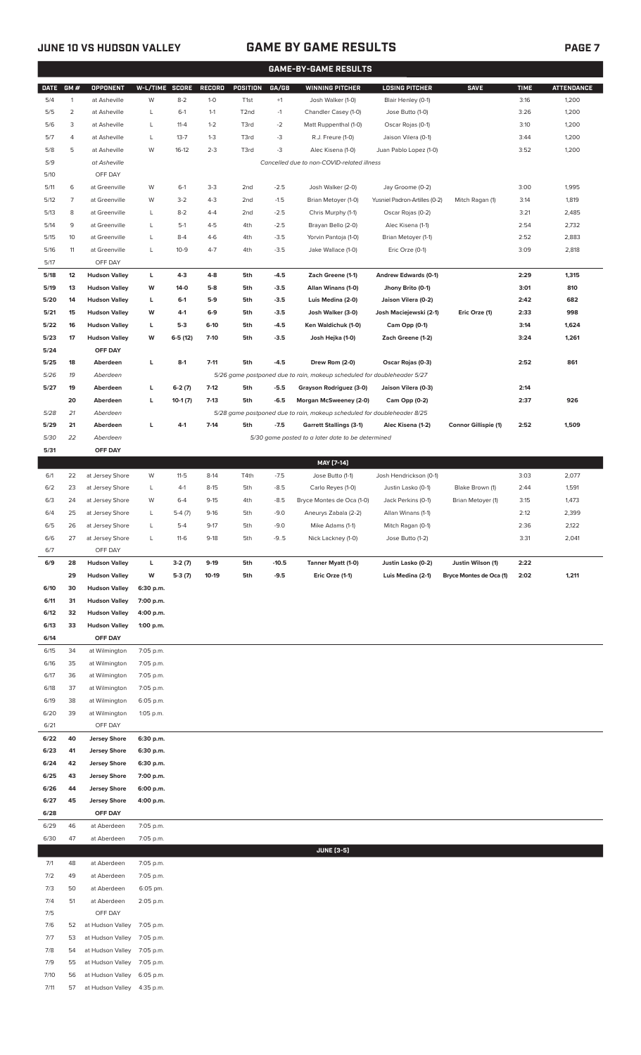7/11 57 at Hudson Valley 4:35 p.m.

### **JUNE 10 VS HUDSON VALLEY GAME BY GAME RESULTS PAGE 7**

|              | <b>GAME-BY-GAME RESULTS</b> |                                              |                        |                |                  |                   |                  |                                                                         |                                          |                             |              |                   |
|--------------|-----------------------------|----------------------------------------------|------------------------|----------------|------------------|-------------------|------------------|-------------------------------------------------------------------------|------------------------------------------|-----------------------------|--------------|-------------------|
| <b>DATE</b>  | GM#                         | <b>OPPONENT</b>                              | W-L/TIME SCORE         |                | <b>RECORD</b>    | POSITION          | GA/GB            | <b>WINNING PITCHER</b>                                                  | <b>LOSING PITCHER</b>                    | <b>SAVE</b>                 | <b>TIME</b>  | <b>ATTENDANCE</b> |
| 5/4          | $\mathbf{1}$                | at Asheville                                 | W                      | $8 - 2$        | $1 - 0$          | T <sub>1st</sub>  | $+1$             | Josh Walker (1-0)                                                       | Blair Henley (0-1)                       |                             | 3:16         | 1,200             |
| 5/5          | $\overline{2}$              | at Asheville                                 | L                      | $6-1$          | $1 - 1$          | T <sub>2</sub> nd | $-1$             | Chandler Casey (1-0)                                                    | Jose Butto (1-0)                         |                             | 3:26         | 1,200             |
| 5/6          | 3                           | at Asheville                                 | L                      | $11 - 4$       | $1 - 2$          | T3rd              | $-2$             | Matt Ruppenthal (1-0)                                                   | Oscar Rojas (0-1)                        |                             | 3:10         | 1,200             |
| 5/7          | 4                           | at Asheville                                 | L                      | $13 - 7$       | $1 - 3$          | T3rd              | $-3$             | R.J. Freure (1-0)                                                       | Jaison Vilera (0-1)                      |                             | 3:44         | 1,200             |
| 5/8          | 5                           | at Asheville                                 | W                      | $16-12$        | $2 - 3$          | T3rd              | $-3$             | Alec Kisena (1-0)                                                       | Juan Pablo Lopez (1-0)                   |                             | 3:52         | 1,200             |
| 5/9          |                             | at Asheville                                 |                        |                |                  |                   |                  | Cancelled due to non-COVID-related illness                              |                                          |                             |              |                   |
| 5/10         |                             | OFF DAY                                      |                        |                |                  |                   |                  |                                                                         |                                          |                             |              |                   |
| 5/11         | 6                           | at Greenville                                | W                      | $6-1$          | $3-3$            | 2 <sub>nd</sub>   | $-2.5$           | Josh Walker (2-0)                                                       | Jay Groome (0-2)                         |                             | 3:00         | 1,995             |
| 5/12         | $\overline{7}$              | at Greenville                                | W                      | $3-2$          | $4 - 3$          | 2 <sub>nd</sub>   | $-1.5$           | Brian Metoyer (1-0)                                                     | Yusniel Padron-Artilles (0-2)            | Mitch Ragan (1)             | 3:14         | 1,819             |
| 5/13         | 8                           | at Greenville                                | L                      | $8-2$          | $4 - 4$          | 2 <sub>nd</sub>   | $-2.5$           | Chris Murphy (1-1)                                                      | Oscar Rojas (0-2)                        |                             | 3:21         | 2,485             |
| 5/14         | 9<br>10                     | at Greenville                                | L                      | $5-1$<br>$8-4$ | $4 - 5$<br>$4-6$ | 4th               | $-2.5$<br>$-3.5$ | Brayan Bello (2-0)                                                      | Alec Kisena (1-1)<br>Brian Metoyer (1-1) |                             | 2:54         | 2,732<br>2,883    |
| 5/15<br>5/16 | 11                          | at Greenville<br>at Greenville               | L<br>L                 | $10-9$         | $4 - 7$          | 4th<br>4th        | $-3.5$           | Yorvin Pantoja (1-0)<br>Jake Wallace (1-0)                              | Eric Orze (0-1)                          |                             | 2:52<br>3:09 | 2,818             |
| 5/17         |                             | OFF DAY                                      |                        |                |                  |                   |                  |                                                                         |                                          |                             |              |                   |
| 5/18         | 12                          | <b>Hudson Valley</b>                         | L                      | $4 - 3$        | $4-8$            | 5th               | $-4.5$           | Zach Greene (1-1)                                                       | Andrew Edwards (0-1)                     |                             | 2:29         | 1,315             |
| 5/19         | 13                          | <b>Hudson Valley</b>                         | W                      | 14-0           | $5-8$            | 5th               | $-3.5$           | Allan Winans (1-0)                                                      | Jhony Brito (0-1)                        |                             | 3:01         | 810               |
| 5/20         | 14                          | <b>Hudson Valley</b>                         | L                      | $6-1$          | $5-9$            | 5th               | $-3.5$           | Luis Medina (2-0)                                                       | Jaison Vilera (0-2)                      |                             | 2:42         | 682               |
| 5/21         | 15                          | <b>Hudson Valley</b>                         | W                      | 4-1            | $6-9$            | 5th               | $-3.5$           | Josh Walker (3-0)                                                       | Josh Maciejewski (2-1)                   | Eric Orze (1)               | 2:33         | 998               |
| 5/22         | 16                          | <b>Hudson Valley</b>                         | L                      | $5-3$          | 6-10             | 5th               | $-4.5$           | Ken Waldichuk (1-0)                                                     | Cam Opp (0-1)                            |                             | 3:14         | 1,624             |
| 5/23         | 17                          | <b>Hudson Valley</b>                         | W                      | $6-5(12)$      | $7-10$           | 5th               | $-3.5$           | Josh Hejka (1-0)                                                        | Zach Greene (1-2)                        |                             | 3:24         | 1,261             |
| 5/24         |                             | OFF DAY                                      |                        |                |                  |                   |                  |                                                                         |                                          |                             |              |                   |
| 5/25         | 18                          | Aberdeen                                     | L                      | $8-1$          | $7 - 11$         | 5th               | $-4.5$           | Drew Rom (2-0)                                                          | Oscar Rojas (0-3)                        |                             | 2:52         | 861               |
| 5/26         | 19                          | Aberdeen                                     |                        |                |                  |                   |                  | 5/26 game postponed due to rain, makeup scheduled for doubleheader 5/27 |                                          |                             |              |                   |
| 5/27         | 19                          | Aberdeen                                     | L                      | $6-2(7)$       | $7-12$           | 5th               | $-5.5$           | Grayson Rodriguez (3-0)                                                 | Jaison Vilera (0-3)                      |                             | 2:14         |                   |
|              | 20                          | Aberdeen                                     | L                      | $10-1(7)$      | $7-13$           | 5th               | $-6.5$           | Morgan McSweeney (2-0)                                                  | Cam Opp (0-2)                            |                             | 2:37         | 926               |
| 5/28         | 21                          | Aberdeen                                     |                        |                |                  |                   |                  | 5/28 game postponed due to rain, makeup scheduled for doubleheader 8/25 |                                          |                             |              |                   |
| 5/29         | 21                          | Aberdeen                                     | L                      | $4 - 1$        | $7 - 14$         | 5th               | $-7.5$           | <b>Garrett Stallings (3-1)</b>                                          | Alec Kisena (1-2)                        | <b>Connor Gillispie (1)</b> | 2:52         | 1,509             |
| 5/30         | 22                          | Aberdeen                                     |                        |                |                  |                   |                  | 5/30 game posted to a later date to be determined                       |                                          |                             |              |                   |
| 5/31         |                             | OFF DAY                                      |                        |                |                  |                   |                  | MAY [7-14]                                                              |                                          |                             |              |                   |
| 6/1          | 22                          | at Jersey Shore                              | W                      | $11 - 5$       | $8-14$           | T4th              | $-7.5$           | Jose Butto (1-1)                                                        | Josh Hendrickson (0-1)                   |                             | 3:03         | 2,077             |
| 6/2          | 23                          | at Jersey Shore                              | L                      | $4-1$          | $8 - 15$         | 5th               | $-8.5$           | Carlo Reyes (1-0)                                                       | Justin Lasko (0-1)                       | Blake Brown (1)             | 2:44         | 1,591             |
| 6/3          | 24                          | at Jersey Shore                              | W                      | $6 - 4$        | $9 - 15$         | 4th               | $-8.5$           | Bryce Montes de Oca (1-0)                                               | Jack Perkins (0-1)                       | Brian Metoyer (1)           | 3:15         | 1,473             |
| 6/4          | 25                          | at Jersey Shore                              | L                      | $5-4(7)$       | $9-16$           | 5th               | $-9.0$           | Aneurys Zabala (2-2)                                                    | Allan Winans (1-1)                       |                             | 2:12         | 2,399             |
| 6/5          | 26                          | at Jersey Shore                              | L                      | $5 - 4$        | $9 - 17$         | 5th               | $-9.0$           | Mike Adams (1-1)                                                        | Mitch Ragan (0-1)                        |                             | 2:36         | 2,122             |
| 6/6          | 27                          | at Jersey Shore                              | L                      | $11-6$         | $9-18$           | 5th               | $-9.5$           | Nick Lackney (1-0)                                                      | Jose Butto (1-2)                         |                             | 3:31         | 2,041             |
| 6/7          |                             | OFF DAY                                      |                        |                |                  |                   |                  |                                                                         |                                          |                             |              |                   |
| 6/9          | 28                          | <b>Hudson Valley</b>                         | L                      | $3-2(7)$       | $9-19$           | 5th               | $-10.5$          | Tanner Myatt (1-0)                                                      | Justin Lasko (0-2)                       | Justin Wilson (1)           | 2:22         |                   |
|              | 29                          | <b>Hudson Valley</b>                         | W                      | $5-3(7)$       | $10-19$          | 5th               | $-9.5$           | Eric Orze (1-1)                                                         | Luis Medina (2-1)                        | Bryce Montes de Oca (1)     | 2:02         | 1,211             |
| 6/10<br>6/11 | 30<br>31                    | <b>Hudson Valley</b><br><b>Hudson Valley</b> | 6:30 p.m.<br>7:00 p.m. |                |                  |                   |                  |                                                                         |                                          |                             |              |                   |
| 6/12         | 32                          | <b>Hudson Valley</b>                         | 4:00 p.m.              |                |                  |                   |                  |                                                                         |                                          |                             |              |                   |
| 6/13         | 33                          | <b>Hudson Valley</b>                         | 1:00 p.m.              |                |                  |                   |                  |                                                                         |                                          |                             |              |                   |
| 6/14         |                             | OFF DAY                                      |                        |                |                  |                   |                  |                                                                         |                                          |                             |              |                   |
| 6/15         | 34                          | at Wilmington                                | 7:05 p.m.              |                |                  |                   |                  |                                                                         |                                          |                             |              |                   |
| 6/16         | 35                          | at Wilmington                                | 7:05 p.m.              |                |                  |                   |                  |                                                                         |                                          |                             |              |                   |
| 6/17         | 36                          | at Wilmington                                | 7:05 p.m.              |                |                  |                   |                  |                                                                         |                                          |                             |              |                   |
| 6/18         | 37                          | at Wilmington                                | 7:05 p.m.              |                |                  |                   |                  |                                                                         |                                          |                             |              |                   |
| 6/19         | 38                          | at Wilmington                                | 6:05 p.m.              |                |                  |                   |                  |                                                                         |                                          |                             |              |                   |
| 6/20         | 39                          | at Wilmington                                | 1:05 p.m.              |                |                  |                   |                  |                                                                         |                                          |                             |              |                   |
| 6/21         |                             | OFF DAY                                      |                        |                |                  |                   |                  |                                                                         |                                          |                             |              |                   |
| 6/22         | 40                          | <b>Jersey Shore</b>                          | 6:30 p.m.              |                |                  |                   |                  |                                                                         |                                          |                             |              |                   |
| 6/23         | 41                          | <b>Jersey Shore</b>                          | 6:30 p.m.              |                |                  |                   |                  |                                                                         |                                          |                             |              |                   |
| 6/24<br>6/25 | 42<br>43                    | <b>Jersey Shore</b><br><b>Jersey Shore</b>   | 6:30 p.m.<br>7:00 p.m. |                |                  |                   |                  |                                                                         |                                          |                             |              |                   |
| 6/26         | 44                          | <b>Jersey Shore</b>                          | 6:00 p.m.              |                |                  |                   |                  |                                                                         |                                          |                             |              |                   |
| 6/27         | 45                          | <b>Jersey Shore</b>                          | 4:00 p.m.              |                |                  |                   |                  |                                                                         |                                          |                             |              |                   |
| 6/28         |                             | OFF DAY                                      |                        |                |                  |                   |                  |                                                                         |                                          |                             |              |                   |
| 6/29         | 46                          | at Aberdeen                                  | 7:05 p.m.              |                |                  |                   |                  |                                                                         |                                          |                             |              |                   |
| 6/30         | 47                          | at Aberdeen                                  | 7:05 p.m.              |                |                  |                   |                  |                                                                         |                                          |                             |              |                   |
|              |                             |                                              |                        |                |                  |                   |                  | <b>JUNE [3-5]</b>                                                       |                                          |                             |              |                   |
| 7/1          | 48                          | at Aberdeen                                  | 7:05 p.m.              |                |                  |                   |                  |                                                                         |                                          |                             |              |                   |
| 7/2          | 49                          | at Aberdeen                                  | 7:05 p.m.              |                |                  |                   |                  |                                                                         |                                          |                             |              |                   |
| 7/3          | 50                          | at Aberdeen                                  | 6:05 pm.               |                |                  |                   |                  |                                                                         |                                          |                             |              |                   |
| 7/4          | 51                          | at Aberdeen                                  | 2:05 p.m.              |                |                  |                   |                  |                                                                         |                                          |                             |              |                   |
| 7/5<br>7/6   | 52                          | OFF DAY<br>at Hudson Valley                  | 7:05 p.m.              |                |                  |                   |                  |                                                                         |                                          |                             |              |                   |
| 7/7          | 53                          | at Hudson Valley                             | 7:05 p.m.              |                |                  |                   |                  |                                                                         |                                          |                             |              |                   |
| 7/8          | 54                          | at Hudson Valley                             | 7:05 p.m.              |                |                  |                   |                  |                                                                         |                                          |                             |              |                   |
| 7/9          | 55                          | at Hudson Valley                             | 7:05 p.m.              |                |                  |                   |                  |                                                                         |                                          |                             |              |                   |
| 7/10         | 56                          | at Hudson Valley 6:05 p.m.                   |                        |                |                  |                   |                  |                                                                         |                                          |                             |              |                   |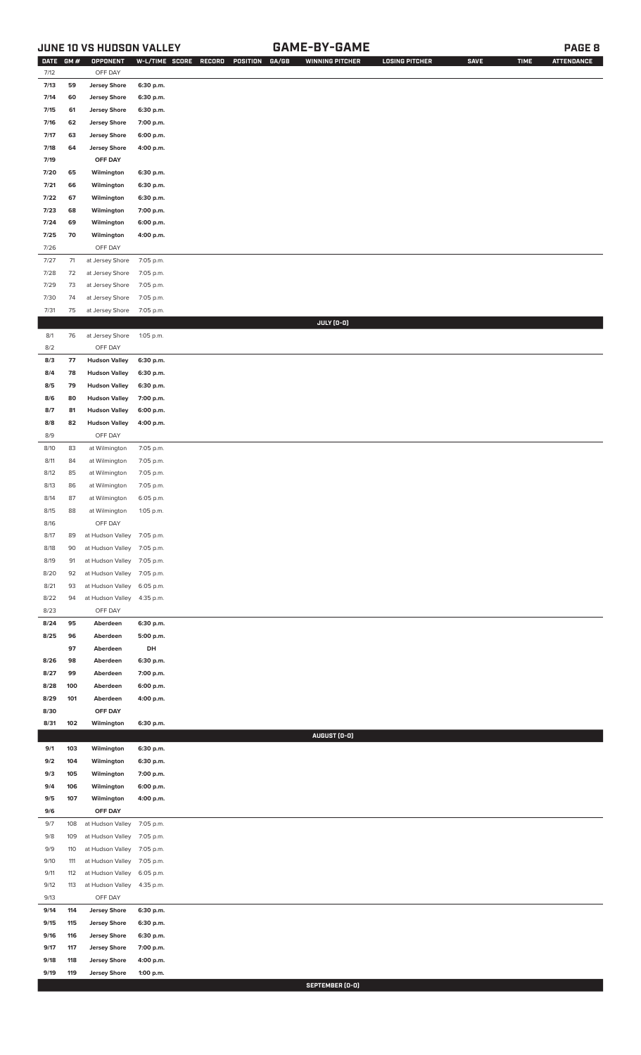## **JUNE 10 VS HUDSON VALLEY GAME-BY-GAME PAGE 8**

| DATE GM #    |            | OPPONENT                             | W-L/TIME SCORE         | RECORD<br>POSITION<br>GA/GB | <b>WINNING PITCHER</b> | <b>LOSING PITCHER</b> | <b>SAVE</b> | <b>TIME</b> | <b>ATTENDANCE</b> |
|--------------|------------|--------------------------------------|------------------------|-----------------------------|------------------------|-----------------------|-------------|-------------|-------------------|
| 7/12<br>7/13 | 59         | OFF DAY                              | 6:30 p.m.              |                             |                        |                       |             |             |                   |
| 7/14         | 60         | <b>Jersey Shore</b>                  |                        |                             |                        |                       |             |             |                   |
|              |            | <b>Jersey Shore</b>                  | 6:30 p.m.              |                             |                        |                       |             |             |                   |
| 7/15         | 61         | <b>Jersey Shore</b>                  | 6:30 p.m.              |                             |                        |                       |             |             |                   |
| 7/16         | 62         | <b>Jersey Shore</b>                  | 7:00 p.m.              |                             |                        |                       |             |             |                   |
| 7/17         | 63         | <b>Jersey Shore</b>                  | 6:00 p.m.              |                             |                        |                       |             |             |                   |
| 7/18         | 64         | <b>Jersey Shore</b>                  | 4:00 p.m.              |                             |                        |                       |             |             |                   |
| 7/19         |            | OFF DAY                              |                        |                             |                        |                       |             |             |                   |
| 7/20         | 65         | Wilmington                           | 6:30 p.m.              |                             |                        |                       |             |             |                   |
| 7/21         | 66         | Wilmington                           | 6:30 p.m.              |                             |                        |                       |             |             |                   |
| 7/22         | 67         | Wilmington                           | 6:30 p.m.              |                             |                        |                       |             |             |                   |
| 7/23<br>7/24 | 68<br>69   | Wilmington<br>Wilmington             | 7:00 p.m.<br>6:00 p.m. |                             |                        |                       |             |             |                   |
| 7/25         | 70         | Wilmington                           | 4:00 p.m.              |                             |                        |                       |             |             |                   |
| 7/26         |            | OFF DAY                              |                        |                             |                        |                       |             |             |                   |
| 7/27         | $71$       | at Jersey Shore                      | 7:05 p.m.              |                             |                        |                       |             |             |                   |
| 7/28         | 72         | at Jersey Shore                      | 7:05 p.m.              |                             |                        |                       |             |             |                   |
| 7/29         | 73         | at Jersey Shore                      | 7:05 p.m.              |                             |                        |                       |             |             |                   |
| 7/30         | 74         | at Jersey Shore                      | 7:05 p.m.              |                             |                        |                       |             |             |                   |
| 7/31         | 75         | at Jersey Shore                      | 7:05 p.m.              |                             |                        |                       |             |             |                   |
|              |            |                                      |                        |                             | JULY (0-0)             |                       |             |             |                   |
| 8/1          | 76         | at Jersey Shore                      | 1:05 p.m.              |                             |                        |                       |             |             |                   |
| 8/2          |            | OFF DAY                              |                        |                             |                        |                       |             |             |                   |
| 8/3          | 77         | <b>Hudson Valley</b>                 | 6:30 p.m.              |                             |                        |                       |             |             |                   |
| 8/4          | 78         | <b>Hudson Valley</b>                 | 6:30 p.m.              |                             |                        |                       |             |             |                   |
| 8/5          | 79         | <b>Hudson Valley</b>                 | 6:30 p.m.              |                             |                        |                       |             |             |                   |
| 8/6          | 80         | <b>Hudson Valley</b>                 | 7:00 p.m.              |                             |                        |                       |             |             |                   |
| 8/7          | 81         | <b>Hudson Valley</b>                 | 6:00 p.m.              |                             |                        |                       |             |             |                   |
| 8/8          | 82         | <b>Hudson Valley</b>                 | 4:00 p.m.              |                             |                        |                       |             |             |                   |
| 8/9          |            | OFF DAY                              |                        |                             |                        |                       |             |             |                   |
| 8/10         | 83         | at Wilmington                        | 7:05 p.m.              |                             |                        |                       |             |             |                   |
| 8/11         | 84         | at Wilmington                        | 7:05 p.m.              |                             |                        |                       |             |             |                   |
| 8/12         | 85         | at Wilmington                        | 7:05 p.m.              |                             |                        |                       |             |             |                   |
| 8/13         | 86         | at Wilmington                        | 7:05 p.m.              |                             |                        |                       |             |             |                   |
| 8/14         | 87         | at Wilmington                        | 6:05 p.m.              |                             |                        |                       |             |             |                   |
| 8/15         | 88         | at Wilmington                        | 1:05 p.m.              |                             |                        |                       |             |             |                   |
| 8/16         |            | OFF DAY                              |                        |                             |                        |                       |             |             |                   |
| 8/17         | 89         | at Hudson Valley 7:05 p.m.           |                        |                             |                        |                       |             |             |                   |
| 8/18         | 90         | at Hudson Valley                     | 7:05 p.m.              |                             |                        |                       |             |             |                   |
| 8/19         | 91         | at Hudson Valley                     | 7:05 p.m.              |                             |                        |                       |             |             |                   |
| 8/20<br>8/21 | 92<br>93   | at Hudson Valley<br>at Hudson Valley | 7:05 p.m.<br>6:05 p.m. |                             |                        |                       |             |             |                   |
| 8/22         | 94         | at Hudson Valley                     | 4:35 p.m.              |                             |                        |                       |             |             |                   |
| 8/23         |            | OFF DAY                              |                        |                             |                        |                       |             |             |                   |
| 8/24         | 95         | Aberdeen                             | 6:30 p.m.              |                             |                        |                       |             |             |                   |
| 8/25         | 96         | Aberdeen                             | 5:00 p.m.              |                             |                        |                       |             |             |                   |
|              | 97         | Aberdeen                             | DH                     |                             |                        |                       |             |             |                   |
| 8/26         | 98         | Aberdeen                             | 6:30 p.m.              |                             |                        |                       |             |             |                   |
| 8/27         | 99         | Aberdeen                             | 7:00 p.m.              |                             |                        |                       |             |             |                   |
| 8/28         | 100        | Aberdeen                             | 6:00 p.m.              |                             |                        |                       |             |             |                   |
| 8/29         | 101        | Aberdeen                             | 4:00 p.m.              |                             |                        |                       |             |             |                   |
| 8/30         |            | OFF DAY                              |                        |                             |                        |                       |             |             |                   |
| 8/31         | 102        | Wilmington                           | 6:30 p.m.              |                             |                        |                       |             |             |                   |
|              |            |                                      |                        |                             | AUGUST (0-0)           |                       |             |             |                   |
| 9/1          | 103        | Wilmington                           | 6:30 p.m.              |                             |                        |                       |             |             |                   |
| 9/2          | 104        | Wilmington                           | 6:30 p.m.              |                             |                        |                       |             |             |                   |
| 9/3          | 105        | Wilmington                           | 7:00 p.m.              |                             |                        |                       |             |             |                   |
| 9/4          | 106        | Wilmington                           | 6:00 p.m.              |                             |                        |                       |             |             |                   |
| 9/5          | 107        | Wilmington                           | 4:00 p.m.              |                             |                        |                       |             |             |                   |
| 9/6          |            | OFF DAY                              |                        |                             |                        |                       |             |             |                   |
| 9/7          | 108        | at Hudson Valley                     | 7:05 p.m.              |                             |                        |                       |             |             |                   |
| 9/8          | 109        | at Hudson Valley                     | 7:05 p.m.              |                             |                        |                       |             |             |                   |
| 9/9          | 110        | at Hudson Valley                     | 7:05 p.m.              |                             |                        |                       |             |             |                   |
| 9/10<br>9/11 | 111        | at Hudson Valley                     | 7:05 p.m.              |                             |                        |                       |             |             |                   |
| 9/12         | 112<br>113 | at Hudson Valley<br>at Hudson Valley | 6:05 p.m.<br>4:35 p.m. |                             |                        |                       |             |             |                   |
| 9/13         |            | OFF DAY                              |                        |                             |                        |                       |             |             |                   |
| 9/14         | 114        | <b>Jersey Shore</b>                  | 6:30 p.m.              |                             |                        |                       |             |             |                   |
| 9/15         | 115        | <b>Jersey Shore</b>                  | 6:30 p.m.              |                             |                        |                       |             |             |                   |
| 9/16         | 116        | <b>Jersey Shore</b>                  | 6:30 p.m.              |                             |                        |                       |             |             |                   |
| 9/17         | 117        | <b>Jersey Shore</b>                  | 7:00 p.m.              |                             |                        |                       |             |             |                   |
| 9/18         | 118        | <b>Jersey Shore</b>                  | 4:00 p.m.              |                             |                        |                       |             |             |                   |
| 9/19         | 119        | <b>Jersey Shore</b>                  | 1:00 p.m.              |                             |                        |                       |             |             |                   |
|              |            |                                      |                        |                             |                        |                       |             |             |                   |